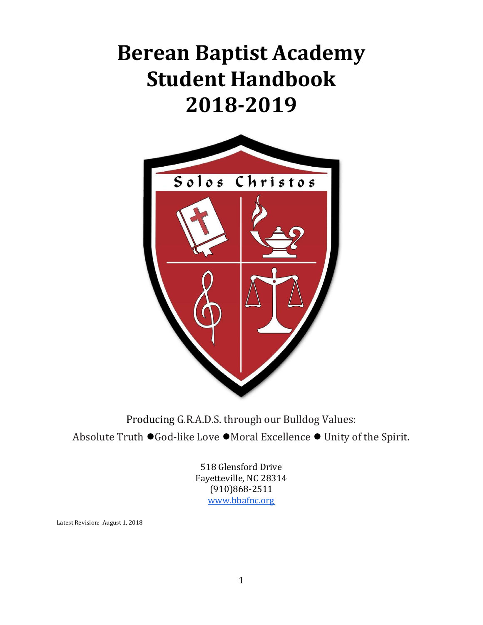# **Berean Baptist Academy Student Handbook 2018-2019**



Producing G.R.A.D.S. through our Bulldog Values: Absolute Truth *●*God-like Love *●*Moral Excellence *●* Unity of the Spirit.

> 518 Glensford Drive Fayetteville, NC 28314 (910)868-2511 [www.bbafnc.org](http://www.bbafnc.org/)

Latest Revision: August 1, 2018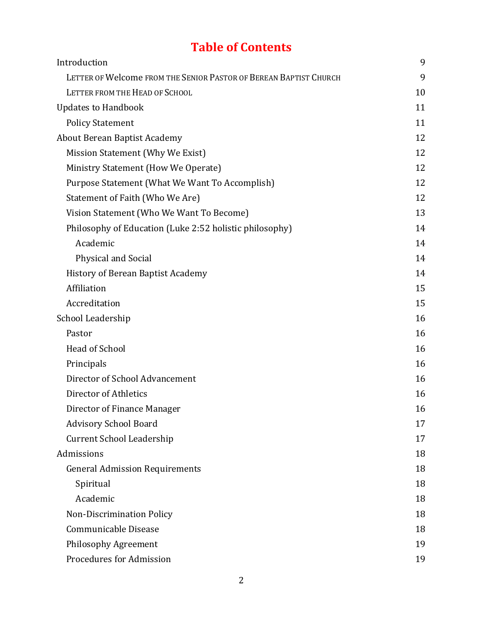## **Table of Contents**

| Introduction                                                      | 9  |
|-------------------------------------------------------------------|----|
| LETTER OF Welcome FROM THE SENIOR PASTOR OF BEREAN BAPTIST CHURCH | 9  |
| LETTER FROM THE HEAD OF SCHOOL                                    | 10 |
| <b>Updates to Handbook</b>                                        | 11 |
| <b>Policy Statement</b>                                           | 11 |
| <b>About Berean Baptist Academy</b>                               | 12 |
| Mission Statement (Why We Exist)                                  | 12 |
| Ministry Statement (How We Operate)                               | 12 |
| Purpose Statement (What We Want To Accomplish)                    | 12 |
| Statement of Faith (Who We Are)                                   | 12 |
| Vision Statement (Who We Want To Become)                          | 13 |
| Philosophy of Education (Luke 2:52 holistic philosophy)           | 14 |
| Academic                                                          | 14 |
| <b>Physical and Social</b>                                        | 14 |
| History of Berean Baptist Academy                                 | 14 |
| Affiliation                                                       | 15 |
| Accreditation                                                     | 15 |
| School Leadership                                                 | 16 |
| Pastor                                                            | 16 |
| Head of School                                                    | 16 |
| Principals                                                        | 16 |
| Director of School Advancement                                    | 16 |
| Director of Athletics                                             | 16 |
| Director of Finance Manager                                       | 16 |
| <b>Advisory School Board</b>                                      | 17 |
| <b>Current School Leadership</b>                                  | 17 |
| Admissions                                                        | 18 |
| <b>General Admission Requirements</b>                             | 18 |
| Spiritual                                                         | 18 |
| Academic                                                          | 18 |
| Non-Discrimination Policy                                         | 18 |
| Communicable Disease                                              | 18 |
| <b>Philosophy Agreement</b>                                       | 19 |
| Procedures for Admission                                          | 19 |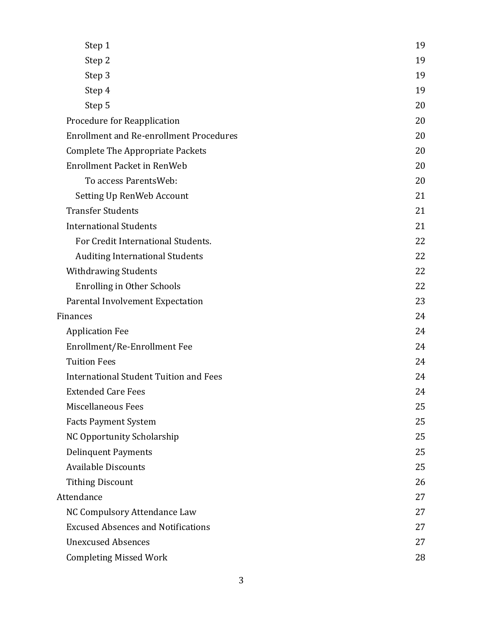| Step 1                                         | 19 |
|------------------------------------------------|----|
| Step 2                                         | 19 |
| Step 3                                         | 19 |
| Step 4                                         | 19 |
| Step 5                                         | 20 |
| Procedure for Reapplication                    | 20 |
| <b>Enrollment and Re-enrollment Procedures</b> | 20 |
| <b>Complete The Appropriate Packets</b>        | 20 |
| <b>Enrollment Packet in RenWeb</b>             | 20 |
| To access ParentsWeb:                          | 20 |
| Setting Up RenWeb Account                      | 21 |
| <b>Transfer Students</b>                       | 21 |
| <b>International Students</b>                  | 21 |
| For Credit International Students.             | 22 |
| <b>Auditing International Students</b>         | 22 |
| <b>Withdrawing Students</b>                    | 22 |
| <b>Enrolling in Other Schools</b>              | 22 |
| Parental Involvement Expectation               | 23 |
| <b>Finances</b>                                | 24 |
| <b>Application Fee</b>                         | 24 |
| Enrollment/Re-Enrollment Fee                   | 24 |
| <b>Tuition Fees</b>                            | 24 |
| <b>International Student Tuition and Fees</b>  | 24 |
| <b>Extended Care Fees</b>                      | 24 |
| Miscellaneous Fees                             | 25 |
| <b>Facts Payment System</b>                    | 25 |
| <b>NC Opportunity Scholarship</b>              | 25 |
| <b>Delinquent Payments</b>                     | 25 |
| <b>Available Discounts</b>                     | 25 |
| <b>Tithing Discount</b>                        | 26 |
| Attendance                                     | 27 |
| NC Compulsory Attendance Law                   | 27 |
| <b>Excused Absences and Notifications</b>      | 27 |
| <b>Unexcused Absences</b>                      | 27 |
| <b>Completing Missed Work</b>                  | 28 |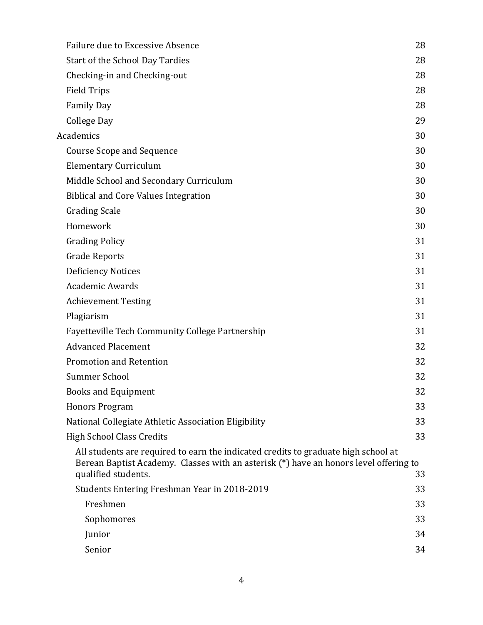| Failure due to Excessive Absence                                                                                                                                                                   | 28 |
|----------------------------------------------------------------------------------------------------------------------------------------------------------------------------------------------------|----|
| Start of the School Day Tardies                                                                                                                                                                    | 28 |
| Checking-in and Checking-out                                                                                                                                                                       | 28 |
| <b>Field Trips</b>                                                                                                                                                                                 | 28 |
| <b>Family Day</b>                                                                                                                                                                                  | 28 |
| College Day                                                                                                                                                                                        | 29 |
| <b>Academics</b>                                                                                                                                                                                   | 30 |
| <b>Course Scope and Sequence</b>                                                                                                                                                                   | 30 |
| <b>Elementary Curriculum</b>                                                                                                                                                                       | 30 |
| Middle School and Secondary Curriculum                                                                                                                                                             | 30 |
| <b>Biblical and Core Values Integration</b>                                                                                                                                                        | 30 |
| <b>Grading Scale</b>                                                                                                                                                                               | 30 |
| Homework                                                                                                                                                                                           | 30 |
| <b>Grading Policy</b>                                                                                                                                                                              | 31 |
| <b>Grade Reports</b>                                                                                                                                                                               | 31 |
| <b>Deficiency Notices</b>                                                                                                                                                                          | 31 |
| <b>Academic Awards</b>                                                                                                                                                                             | 31 |
| <b>Achievement Testing</b>                                                                                                                                                                         | 31 |
| Plagiarism                                                                                                                                                                                         | 31 |
| <b>Fayetteville Tech Community College Partnership</b>                                                                                                                                             | 31 |
| <b>Advanced Placement</b>                                                                                                                                                                          | 32 |
| Promotion and Retention                                                                                                                                                                            | 32 |
| <b>Summer School</b>                                                                                                                                                                               | 32 |
| <b>Books and Equipment</b>                                                                                                                                                                         | 32 |
| <b>Honors Program</b>                                                                                                                                                                              | 33 |
| National Collegiate Athletic Association Eligibility                                                                                                                                               | 33 |
| <b>High School Class Credits</b>                                                                                                                                                                   | 33 |
| All students are required to earn the indicated credits to graduate high school at<br>Berean Baptist Academy. Classes with an asterisk (*) have an honors level offering to<br>qualified students. | 33 |
| Students Entering Freshman Year in 2018-2019                                                                                                                                                       | 33 |
| Freshmen                                                                                                                                                                                           | 33 |
| Sophomores                                                                                                                                                                                         | 33 |
| Junior                                                                                                                                                                                             | 34 |
| Senior                                                                                                                                                                                             | 34 |
|                                                                                                                                                                                                    |    |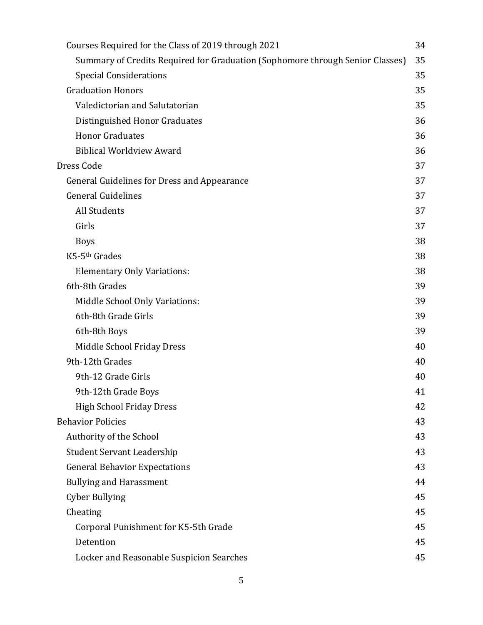| Courses Required for the Class of 2019 through 2021                           | 34 |
|-------------------------------------------------------------------------------|----|
| Summary of Credits Required for Graduation (Sophomore through Senior Classes) | 35 |
| <b>Special Considerations</b>                                                 | 35 |
| <b>Graduation Honors</b>                                                      | 35 |
| Valedictorian and Salutatorian                                                | 35 |
| Distinguished Honor Graduates                                                 | 36 |
| <b>Honor Graduates</b>                                                        | 36 |
| <b>Biblical Worldview Award</b>                                               | 36 |
| Dress Code                                                                    | 37 |
| <b>General Guidelines for Dress and Appearance</b>                            | 37 |
| <b>General Guidelines</b>                                                     | 37 |
| All Students                                                                  | 37 |
| Girls                                                                         | 37 |
| <b>Boys</b>                                                                   | 38 |
| K5-5 <sup>th</sup> Grades                                                     | 38 |
| <b>Elementary Only Variations:</b>                                            | 38 |
| 6th-8th Grades                                                                | 39 |
| Middle School Only Variations:                                                | 39 |
| 6th-8th Grade Girls                                                           | 39 |
| 6th-8th Boys                                                                  | 39 |
| Middle School Friday Dress                                                    | 40 |
| 9th-12th Grades                                                               | 40 |
| 9th-12 Grade Girls                                                            | 40 |
| 9th-12th Grade Boys                                                           | 41 |
| High School Friday Dress                                                      | 42 |
| <b>Behavior Policies</b>                                                      | 43 |
| Authority of the School                                                       | 43 |
| <b>Student Servant Leadership</b>                                             | 43 |
| <b>General Behavior Expectations</b>                                          | 43 |
| <b>Bullying and Harassment</b>                                                | 44 |
| <b>Cyber Bullying</b>                                                         | 45 |
| Cheating                                                                      | 45 |
| Corporal Punishment for K5-5th Grade                                          | 45 |
| Detention                                                                     | 45 |
| Locker and Reasonable Suspicion Searches                                      | 45 |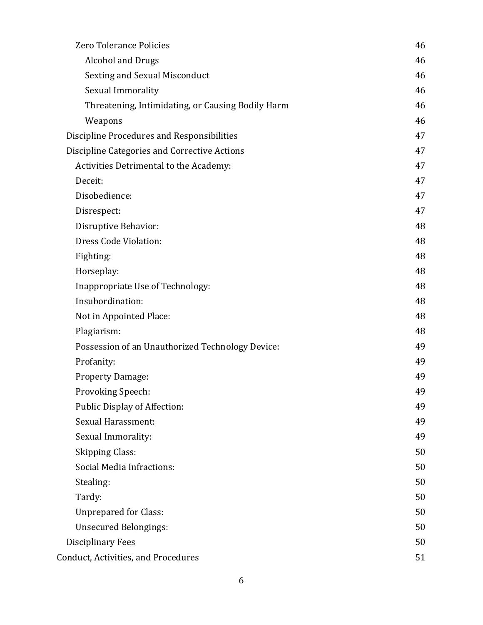| Zero Tolerance Policies                           | 46 |
|---------------------------------------------------|----|
| <b>Alcohol and Drugs</b>                          | 46 |
| <b>Sexting and Sexual Misconduct</b>              | 46 |
| Sexual Immorality                                 | 46 |
| Threatening, Intimidating, or Causing Bodily Harm | 46 |
| Weapons                                           | 46 |
| Discipline Procedures and Responsibilities        | 47 |
| Discipline Categories and Corrective Actions      | 47 |
| Activities Detrimental to the Academy:            | 47 |
| Deceit:                                           | 47 |
| Disobedience:                                     | 47 |
| Disrespect:                                       | 47 |
| Disruptive Behavior:                              | 48 |
| Dress Code Violation:                             | 48 |
| Fighting:                                         | 48 |
| Horseplay:                                        | 48 |
| Inappropriate Use of Technology:                  | 48 |
| Insubordination:                                  | 48 |
| Not in Appointed Place:                           | 48 |
| Plagiarism:                                       | 48 |
| Possession of an Unauthorized Technology Device:  | 49 |
| Profanity:                                        | 49 |
| <b>Property Damage:</b>                           | 49 |
| Provoking Speech:                                 | 49 |
| <b>Public Display of Affection:</b>               | 49 |
| Sexual Harassment:                                | 49 |
| Sexual Immorality:                                | 49 |
| <b>Skipping Class:</b>                            | 50 |
| Social Media Infractions:                         | 50 |
| Stealing:                                         | 50 |
| Tardy:                                            | 50 |
| <b>Unprepared for Class:</b>                      | 50 |
| <b>Unsecured Belongings:</b>                      | 50 |
| Disciplinary Fees                                 | 50 |
| <b>Conduct, Activities, and Procedures</b>        | 51 |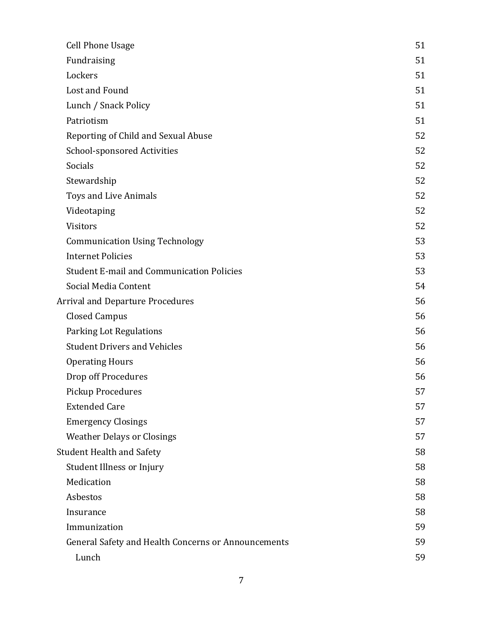| <b>Cell Phone Usage</b>                             | 51 |
|-----------------------------------------------------|----|
| Fundraising                                         | 51 |
| Lockers                                             | 51 |
| Lost and Found                                      | 51 |
| Lunch / Snack Policy                                | 51 |
| Patriotism                                          | 51 |
| Reporting of Child and Sexual Abuse                 | 52 |
| <b>School-sponsored Activities</b>                  | 52 |
| Socials                                             | 52 |
| Stewardship                                         | 52 |
| Toys and Live Animals                               | 52 |
| Videotaping                                         | 52 |
| Visitors                                            | 52 |
| <b>Communication Using Technology</b>               | 53 |
| <b>Internet Policies</b>                            | 53 |
| <b>Student E-mail and Communication Policies</b>    | 53 |
| Social Media Content                                | 54 |
| <b>Arrival and Departure Procedures</b>             | 56 |
| <b>Closed Campus</b>                                | 56 |
| Parking Lot Regulations                             | 56 |
| <b>Student Drivers and Vehicles</b>                 | 56 |
| <b>Operating Hours</b>                              | 56 |
| Drop off Procedures                                 | 56 |
| <b>Pickup Procedures</b>                            | 57 |
| <b>Extended Care</b>                                | 57 |
| <b>Emergency Closings</b>                           | 57 |
| <b>Weather Delays or Closings</b>                   | 57 |
| <b>Student Health and Safety</b>                    | 58 |
| Student Illness or Injury                           | 58 |
| Medication                                          | 58 |
| Asbestos                                            | 58 |
| Insurance                                           | 58 |
| Immunization                                        | 59 |
| General Safety and Health Concerns or Announcements | 59 |
| Lunch                                               | 59 |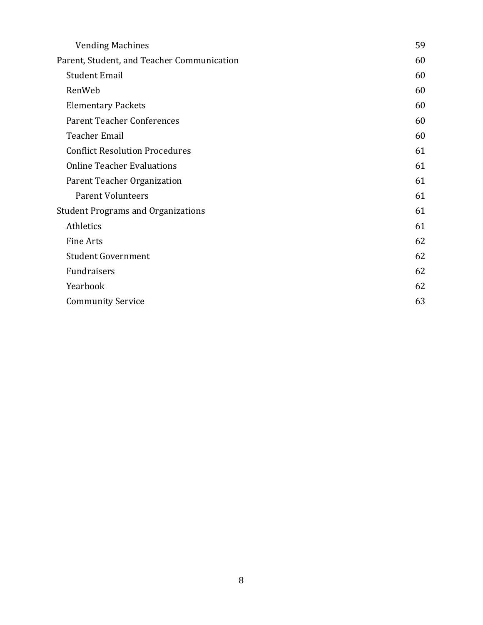| <b>Vending Machines</b>                    | 59 |
|--------------------------------------------|----|
| Parent, Student, and Teacher Communication | 60 |
| <b>Student Email</b>                       | 60 |
| RenWeb                                     | 60 |
| <b>Elementary Packets</b>                  | 60 |
| <b>Parent Teacher Conferences</b>          | 60 |
| <b>Teacher Email</b>                       | 60 |
| <b>Conflict Resolution Procedures</b>      | 61 |
| <b>Online Teacher Evaluations</b>          | 61 |
| Parent Teacher Organization                | 61 |
| <b>Parent Volunteers</b>                   | 61 |
| <b>Student Programs and Organizations</b>  | 61 |
| Athletics                                  | 61 |
| <b>Fine Arts</b>                           | 62 |
| <b>Student Government</b>                  | 62 |
| Fundraisers                                | 62 |
| Yearbook                                   | 62 |
| <b>Community Service</b>                   | 63 |
|                                            |    |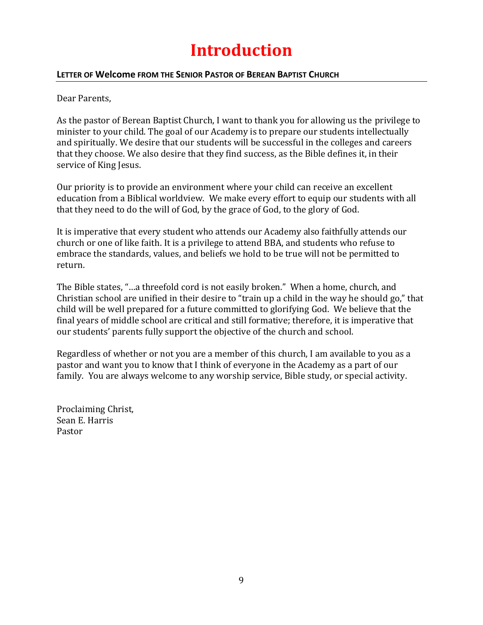## **Introduction**

#### <span id="page-8-1"></span><span id="page-8-0"></span>**LETTER OF Welcome FROM THE SENIOR PASTOR OF BEREAN BAPTIST CHURCH**

Dear Parents,

As the pastor of Berean Baptist Church, I want to thank you for allowing us the privilege to minister to your child. The goal of our Academy is to prepare our students intellectually and spiritually. We desire that our students will be successful in the colleges and careers that they choose. We also desire that they find success, as the Bible defines it, in their service of King Jesus.

Our priority is to provide an environment where your child can receive an excellent education from a Biblical worldview. We make every effort to equip our students with all that they need to do the will of God, by the grace of God, to the glory of God.

It is imperative that every student who attends our Academy also faithfully attends our church or one of like faith. It is a privilege to attend BBA, and students who refuse to embrace the standards, values, and beliefs we hold to be true will not be permitted to return.

The Bible states, "…a threefold cord is not easily broken." When a home, church, and Christian school are unified in their desire to "train up a child in the way he should go," that child will be well prepared for a future committed to glorifying God. We believe that the final years of middle school are critical and still formative; therefore, it is imperative that our students' parents fully support the objective of the church and school.

Regardless of whether or not you are a member of this church, I am available to you as a pastor and want you to know that I think of everyone in the Academy as a part of our family. You are always welcome to any worship service, Bible study, or special activity.

Proclaiming Christ, Sean E. Harris Pastor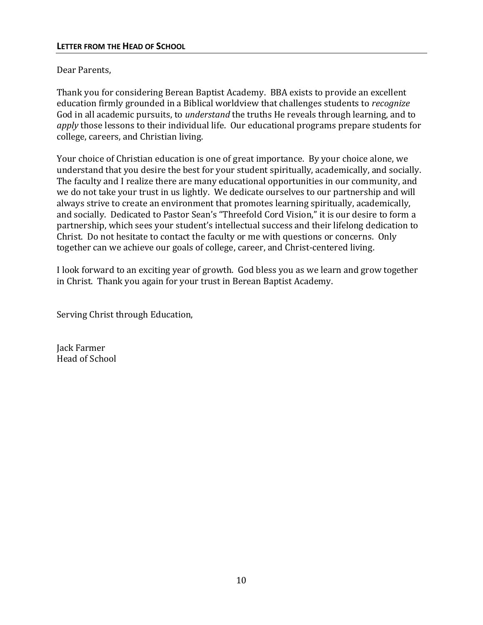#### <span id="page-9-0"></span>Dear Parents,

Thank you for considering Berean Baptist Academy. BBA exists to provide an excellent education firmly grounded in a Biblical worldview that challenges students to *recognize* God in all academic pursuits, to *understand* the truths He reveals through learning, and to *apply* those lessons to their individual life. Our educational programs prepare students for college, careers, and Christian living.

Your choice of Christian education is one of great importance. By your choice alone, we understand that you desire the best for your student spiritually, academically, and socially. The faculty and I realize there are many educational opportunities in our community, and we do not take your trust in us lightly. We dedicate ourselves to our partnership and will always strive to create an environment that promotes learning spiritually, academically, and socially. Dedicated to Pastor Sean's "Threefold Cord Vision," it is our desire to form a partnership, which sees your student's intellectual success and their lifelong dedication to Christ. Do not hesitate to contact the faculty or me with questions or concerns. Only together can we achieve our goals of college, career, and Christ-centered living.

I look forward to an exciting year of growth. God bless you as we learn and grow together in Christ. Thank you again for your trust in Berean Baptist Academy.

Serving Christ through Education,

Jack Farmer Head of School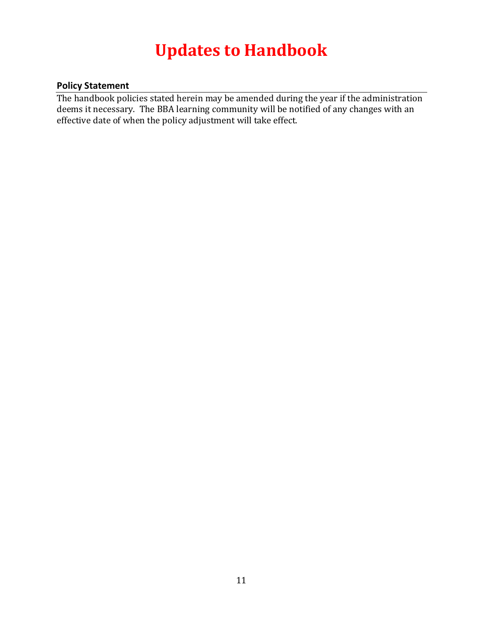## **Updates to Handbook**

## <span id="page-10-1"></span><span id="page-10-0"></span>**Policy Statement**

The handbook policies stated herein may be amended during the year if the administration deems it necessary. The BBA learning community will be notified of any changes with an effective date of when the policy adjustment will take effect.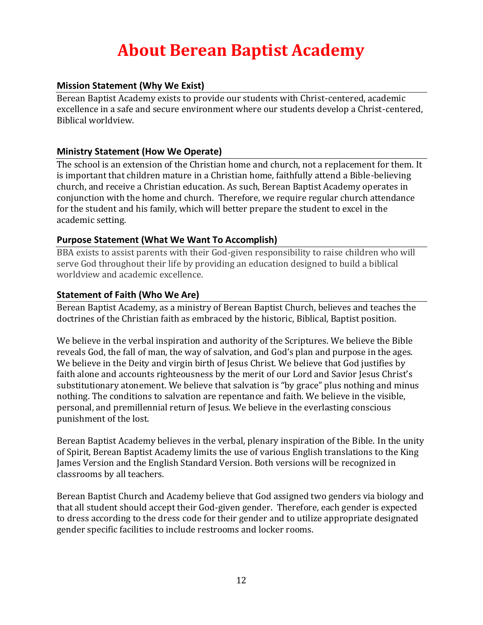## **About Berean Baptist Academy**

## <span id="page-11-1"></span><span id="page-11-0"></span>**Mission Statement (Why We Exist)**

Berean Baptist Academy exists to provide our students with Christ-centered, academic excellence in a safe and secure environment where our students develop a Christ-centered, Biblical worldview.

## <span id="page-11-2"></span>**Ministry Statement (How We Operate)**

The school is an extension of the Christian home and church, not a replacement for them. It is important that children mature in a Christian home, faithfully attend a Bible-believing church, and receive a Christian education. As such, Berean Baptist Academy operates in conjunction with the home and church. Therefore, we require regular church attendance for the student and his family, which will better prepare the student to excel in the academic setting.

#### <span id="page-11-3"></span>**Purpose Statement (What We Want To Accomplish)**

BBA exists to assist parents with their God-given responsibility to raise children who will serve God throughout their life by providing an education designed to build a biblical worldview and academic excellence.

#### <span id="page-11-4"></span>**Statement of Faith (Who We Are)**

Berean Baptist Academy, as a ministry of Berean Baptist Church, believes and teaches the doctrines of the Christian faith as embraced by the historic, Biblical, Baptist position.

We believe in the verbal inspiration and authority of the Scriptures. We believe the Bible reveals God, the fall of man, the way of salvation, and God's plan and purpose in the ages. We believe in the Deity and virgin birth of Jesus Christ. We believe that God justifies by faith alone and accounts righteousness by the merit of our Lord and Savior Jesus Christ's substitutionary atonement. We believe that salvation is "by grace" plus nothing and minus nothing. The conditions to salvation are repentance and faith. We believe in the visible, personal, and premillennial return of Jesus. We believe in the everlasting conscious punishment of the lost.

Berean Baptist Academy believes in the verbal, plenary inspiration of the Bible. In the unity of Spirit, Berean Baptist Academy limits the use of various English translations to the King James Version and the English Standard Version. Both versions will be recognized in classrooms by all teachers.

Berean Baptist Church and Academy believe that God assigned two genders via biology and that all student should accept their God-given gender. Therefore, each gender is expected to dress according to the dress code for their gender and to utilize appropriate designated gender specific facilities to include restrooms and locker rooms.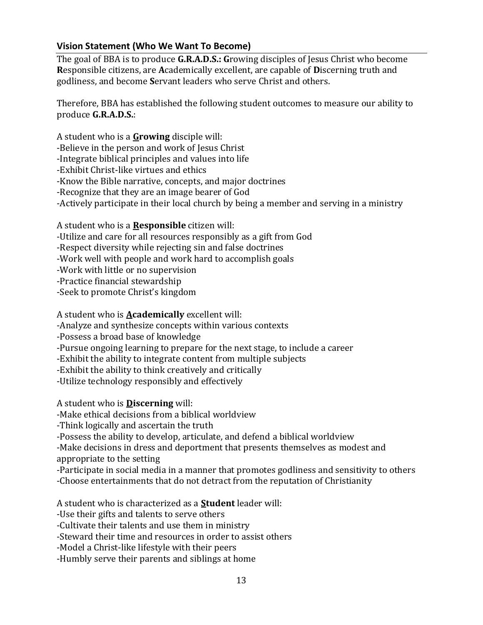## <span id="page-12-0"></span>**Vision Statement (Who We Want To Become)**

The goal of BBA is to produce **G.R.A.D.S.: G**rowing disciples of Jesus Christ who become **R**esponsible citizens, are **A**cademically excellent, are capable of **D**iscerning truth and godliness, and become **S**ervant leaders who serve Christ and others.

Therefore, BBA has established the following student outcomes to measure our ability to produce **G.R.A.D.S.**:

A student who is a **Growing** disciple will:

-Believe in the person and work of Jesus Christ

-Integrate biblical principles and values into life

-Exhibit Christ-like virtues and ethics

-Know the Bible narrative, concepts, and major doctrines

-Recognize that they are an image bearer of God

-Actively participate in their local church by being a member and serving in a ministry

A student who is a **Responsible** citizen will:

-Utilize and care for all resources responsibly as a gift from God

-Respect diversity while rejecting sin and false doctrines

-Work well with people and work hard to accomplish goals

-Work with little or no supervision

-Practice financial stewardship

-Seek to promote Christ's kingdom

A student who is **Academically** excellent will:

-Analyze and synthesize concepts within various contexts

-Possess a broad base of knowledge

-Pursue ongoing learning to prepare for the next stage, to include a career

-Exhibit the ability to integrate content from multiple subjects

-Exhibit the ability to think creatively and critically

-Utilize technology responsibly and effectively

A student who is **Discerning** will:

-Make ethical decisions from a biblical worldview

-Think logically and ascertain the truth

-Possess the ability to develop, articulate, and defend a biblical worldview

-Make decisions in dress and deportment that presents themselves as modest and appropriate to the setting

-Participate in social media in a manner that promotes godliness and sensitivity to others

-Choose entertainments that do not detract from the reputation of Christianity

A student who is characterized as a **Student** leader will:

-Use their gifts and talents to serve others

-Cultivate their talents and use them in ministry

-Steward their time and resources in order to assist others

-Model a Christ-like lifestyle with their peers

-Humbly serve their parents and siblings at home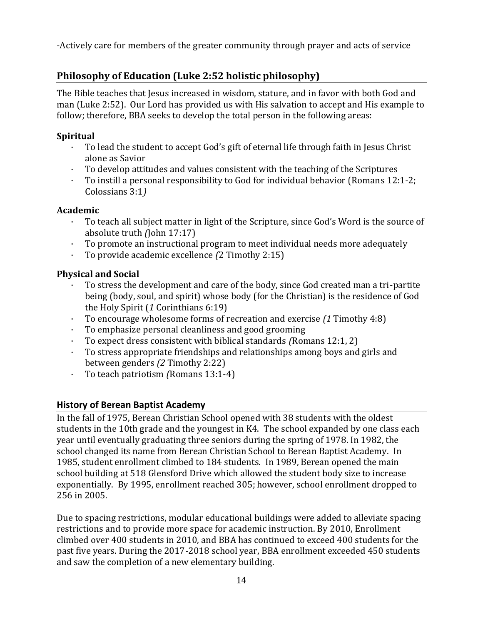-Actively care for members of the greater community through prayer and acts of service

## <span id="page-13-0"></span>**Philosophy of Education (Luke 2:52 holistic philosophy)**

The Bible teaches that Jesus increased in wisdom, stature, and in favor with both God and man (Luke 2:52). Our Lord has provided us with His salvation to accept and His example to follow; therefore, BBA seeks to develop the total person in the following areas:

## **Spiritual**

- · To lead the student to accept God's gift of eternal life through faith in Jesus Christ alone as Savior
- · To develop attitudes and values consistent with the teaching of the Scriptures<br>· To instill a personal responsibility to God for individual behavior (Romans 12)
- · To instill a personal responsibility to God for individual behavior (Romans 12:1-2; Colossians 3:1*)*

## <span id="page-13-1"></span>**Academic**

- · To teach all subject matter in light of the Scripture, since God's Word is the source of absolute truth *(*John 17:17)
- · To promote an instructional program to meet individual needs more adequately
- · To provide academic excellence *(*2 Timothy 2:15)

## <span id="page-13-2"></span>**Physical and Social**

- · To stress the development and care of the body, since God created man a tri-partite being (body, soul, and spirit) whose body (for the Christian) is the residence of God the Holy Spirit (*1* Corinthians 6:19)
- · To encourage wholesome forms of recreation and exercise *(1* Timothy 4:8)
- · To emphasize personal cleanliness and good grooming
- · To expect dress consistent with biblical standards *(*Romans 12:1, 2)
- · To stress appropriate friendships and relationships among boys and girls and between genders *(2* Timothy 2:22)
- · To teach patriotism *(*Romans 13:1-4)

## <span id="page-13-3"></span>**History of Berean Baptist Academy**

In the fall of 1975, Berean Christian School opened with 38 students with the oldest students in the 10th grade and the youngest in K4. The school expanded by one class each year until eventually graduating three seniors during the spring of 1978. In 1982, the school changed its name from Berean Christian School to Berean Baptist Academy. In 1985, student enrollment climbed to 184 students. In 1989, Berean opened the main school building at 518 Glensford Drive which allowed the student body size to increase exponentially. By 1995, enrollment reached 305; however, school enrollment dropped to 256 in 2005.

Due to spacing restrictions, modular educational buildings were added to alleviate spacing restrictions and to provide more space for academic instruction. By 2010, Enrollment climbed over 400 students in 2010, and BBA has continued to exceed 400 students for the past five years. During the 2017-2018 school year, BBA enrollment exceeded 450 students and saw the completion of a new elementary building.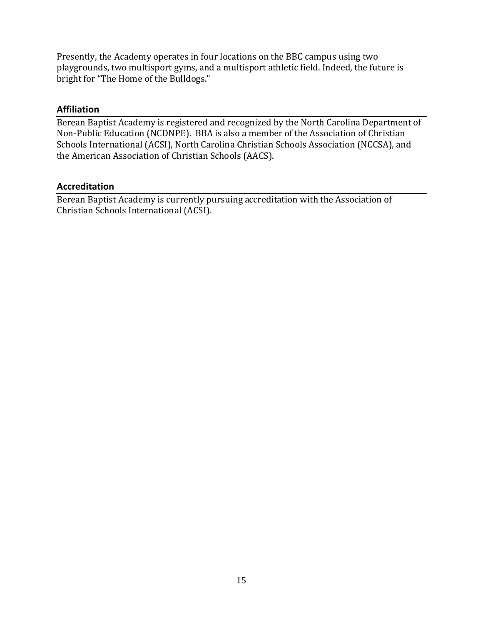Presently, the Academy operates in four locations on the BBC campus using two playgrounds, two multisport gyms, and a multisport athletic field. Indeed, the future is bright for "The Home of the Bulldogs."

#### <span id="page-14-0"></span>**Affiliation**

Berean Baptist Academy is registered and recognized by the North Carolina Department of Non-Public Education (NCDNPE). BBA is also a member of the Association of Christian Schools International (ACSI), North Carolina Christian Schools Association (NCCSA), and the American Association of Christian Schools (AACS).

#### <span id="page-14-1"></span>**Accreditation**

Berean Baptist Academy is currently pursuing accreditation with the Association of Christian Schools International (ACSI).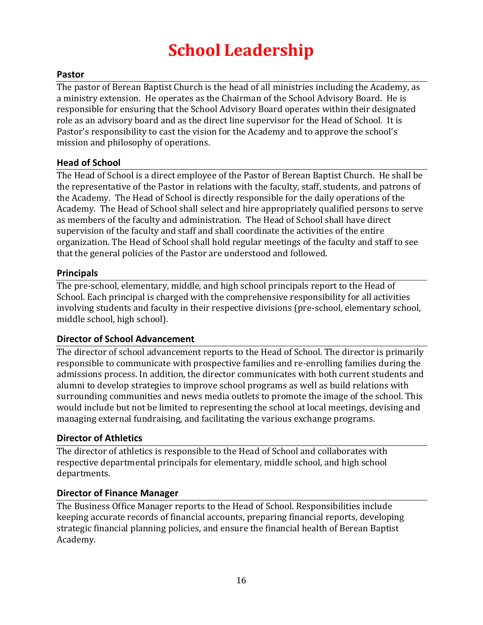## **School Leadership**

## <span id="page-15-1"></span><span id="page-15-0"></span>**Pastor**

The pastor of Berean Baptist Church is the head of all ministries including the Academy, as a ministry extension. He operates as the Chairman of the School Advisory Board. He is responsible for ensuring that the School Advisory Board operates within their designated role as an advisory board and as the direct line supervisor for the Head of School. It is Pastor's responsibility to cast the vision for the Academy and to approve the school's mission and philosophy of operations.

## <span id="page-15-2"></span>**Head of School**

The Head of School is a direct employee of the Pastor of Berean Baptist Church. He shall be the representative of the Pastor in relations with the faculty, staff, students, and patrons of the Academy. The Head of School is directly responsible for the daily operations of the Academy. The Head of School shall select and hire appropriately qualified persons to serve as members of the faculty and administration. The Head of School shall have direct supervision of the faculty and staff and shall coordinate the activities of the entire organization. The Head of School shall hold regular meetings of the faculty and staff to see that the general policies of the Pastor are understood and followed.

## <span id="page-15-3"></span>**Principals**

The pre-school, elementary, middle, and high school principals report to the Head of School. Each principal is charged with the comprehensive responsibility for all activities involving students and faculty in their respective divisions (pre-school, elementary school, middle school, high school).

## <span id="page-15-4"></span>**Director of School Advancement**

The director of school advancement reports to the Head of School. The director is primarily responsible to communicate with prospective families and re-enrolling families during the admissions process. In addition, the director communicates with both current students and alumni to develop strategies to improve school programs as well as build relations with surrounding communities and news media outlets to promote the image of the school. This would include but not be limited to representing the school at local meetings, devising and managing external fundraising, and facilitating the various exchange programs.

#### <span id="page-15-5"></span>**Director of Athletics**

The director of athletics is responsible to the Head of School and collaborates with respective departmental principals for elementary, middle school, and high school departments.

#### <span id="page-15-6"></span>**Director of Finance Manager**

The Business Office Manager reports to the Head of School. Responsibilities include keeping accurate records of financial accounts, preparing financial reports, developing strategic financial planning policies, and ensure the financial health of Berean Baptist Academy.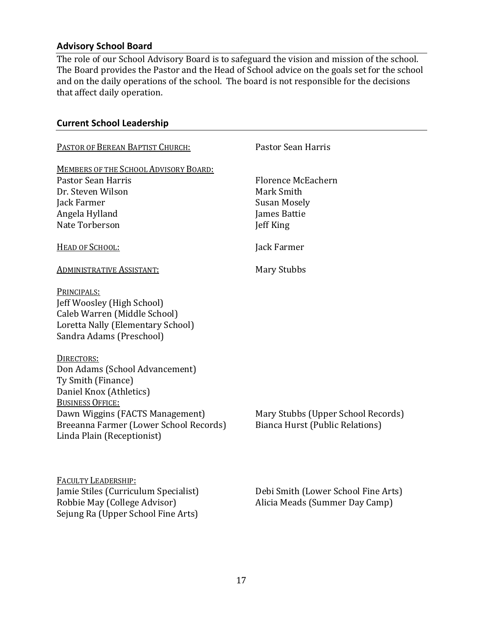## <span id="page-16-0"></span>**Advisory School Board**

The role of our School Advisory Board is to safeguard the vision and mission of the school. The Board provides the Pastor and the Head of School advice on the goals set for the school and on the daily operations of the school. The board is not responsible for the decisions that affect daily operation.

#### <span id="page-16-1"></span>**Current School Leadership**

Sejung Ra (Upper School Fine Arts)

| PASTOR OF BEREAN BAPTIST CHURCH:                                                                                                                                                                                                    | Pastor Sean Harris                                                      |
|-------------------------------------------------------------------------------------------------------------------------------------------------------------------------------------------------------------------------------------|-------------------------------------------------------------------------|
| MEMBERS OF THE SCHOOL ADVISORY BOARD:<br><b>Pastor Sean Harris</b><br>Dr. Steven Wilson<br>Jack Farmer<br>Angela Hylland                                                                                                            | Florence McEachern<br>Mark Smith<br><b>Susan Mosely</b><br>James Battie |
| Nate Torberson<br>HEAD OF SCHOOL:                                                                                                                                                                                                   | Jeff King<br>Jack Farmer                                                |
| <b>ADMINISTRATIVE ASSISTANT:</b>                                                                                                                                                                                                    | <b>Mary Stubbs</b>                                                      |
| PRINCIPALS:<br>Jeff Woosley (High School)<br>Caleb Warren (Middle School)<br>Loretta Nally (Elementary School)<br>Sandra Adams (Preschool)                                                                                          |                                                                         |
| DIRECTORS:<br>Don Adams (School Advancement)<br>Ty Smith (Finance)<br>Daniel Knox (Athletics)<br><b>BUSINESS OFFICE:</b><br>Dawn Wiggins (FACTS Management)<br>Breeanna Farmer (Lower School Records)<br>Linda Plain (Receptionist) | Mary Stubbs (Upper School Records)<br>Bianca Hurst (Public Relations)   |
| <b>FACULTY LEADERSHIP:</b><br>Jamie Stiles (Curriculum Specialist)<br>Robbie May (College Advisor)                                                                                                                                  | Debi Smith (Lower School Fine Arts)<br>Alicia Meads (Summer Day Camp)   |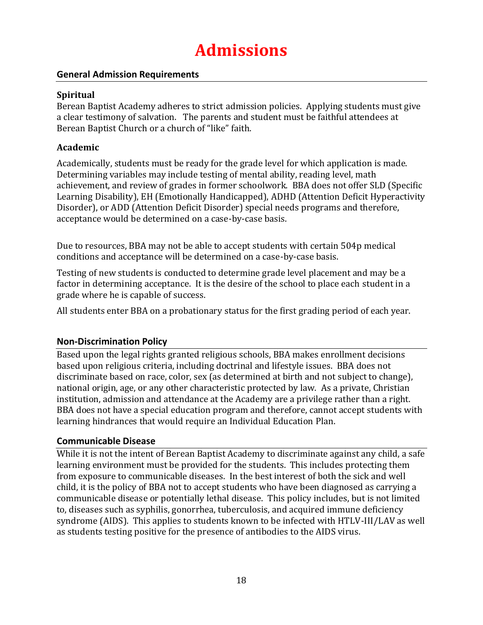## **Admissions**

## <span id="page-17-1"></span><span id="page-17-0"></span>**General Admission Requirements**

#### <span id="page-17-2"></span>**Spiritual**

Berean Baptist Academy adheres to strict admission policies. Applying students must give a clear testimony of salvation. The parents and student must be faithful attendees at Berean Baptist Church or a church of "like" faith.

## <span id="page-17-3"></span>**Academic**

Academically, students must be ready for the grade level for which application is made. Determining variables may include testing of mental ability, reading level, math achievement, and review of grades in former schoolwork. BBA does not offer SLD (Specific Learning Disability), EH (Emotionally Handicapped), ADHD (Attention Deficit Hyperactivity Disorder), or ADD (Attention Deficit Disorder) special needs programs and therefore, acceptance would be determined on a case-by-case basis.

Due to resources, BBA may not be able to accept students with certain 504p medical conditions and acceptance will be determined on a case-by-case basis.

Testing of new students is conducted to determine grade level placement and may be a factor in determining acceptance. It is the desire of the school to place each student in a grade where he is capable of success.

All students enter BBA on a probationary status for the first grading period of each year.

## <span id="page-17-4"></span>**Non-Discrimination Policy**

Based upon the legal rights granted religious schools, BBA makes enrollment decisions based upon religious criteria, including doctrinal and lifestyle issues. BBA does not discriminate based on race, color, sex (as determined at birth and not subject to change), national origin, age, or any other characteristic protected by law. As a private, Christian institution, admission and attendance at the Academy are a privilege rather than a right. BBA does not have a special education program and therefore, cannot accept students with learning hindrances that would require an Individual Education Plan.

#### <span id="page-17-5"></span>**Communicable Disease**

While it is not the intent of Berean Baptist Academy to discriminate against any child, a safe learning environment must be provided for the students. This includes protecting them from exposure to communicable diseases. In the best interest of both the sick and well child, it is the policy of BBA not to accept students who have been diagnosed as carrying a communicable disease or potentially lethal disease. This policy includes, but is not limited to, diseases such as syphilis, gonorrhea, tuberculosis, and acquired immune deficiency syndrome (AIDS). This applies to students known to be infected with HTLV-III/LAV as well as students testing positive for the presence of antibodies to the AIDS virus.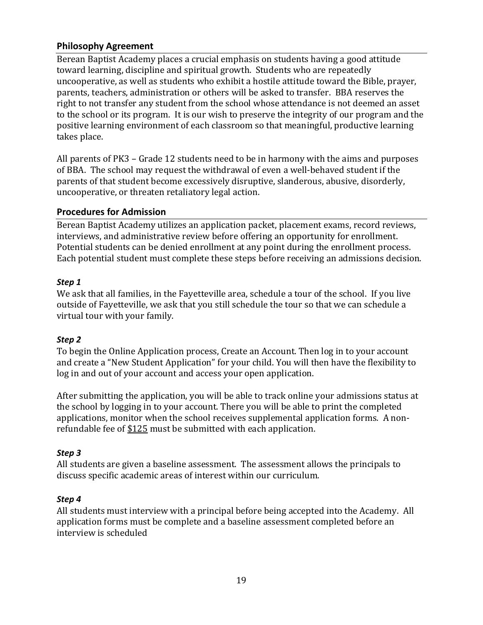## <span id="page-18-0"></span>**Philosophy Agreement**

Berean Baptist Academy places a crucial emphasis on students having a good attitude toward learning, discipline and spiritual growth. Students who are repeatedly uncooperative, as well as students who exhibit a hostile attitude toward the Bible, prayer, parents, teachers, administration or others will be asked to transfer. BBA reserves the right to not transfer any student from the school whose attendance is not deemed an asset to the school or its program. It is our wish to preserve the integrity of our program and the positive learning environment of each classroom so that meaningful, productive learning takes place.

All parents of PK3 – Grade 12 students need to be in harmony with the aims and purposes of BBA. The school may request the withdrawal of even a well-behaved student if the parents of that student become excessively disruptive, slanderous, abusive, disorderly, uncooperative, or threaten retaliatory legal action.

#### <span id="page-18-1"></span>**Procedures for Admission**

Berean Baptist Academy utilizes an application packet, placement exams, record reviews, interviews, and administrative review before offering an opportunity for enrollment. Potential students can be denied enrollment at any point during the enrollment process. Each potential student must complete these steps before receiving an admissions decision.

#### <span id="page-18-2"></span>*Step 1*

We ask that all families, in the Fayetteville area, schedule a tour of the school. If you live outside of Fayetteville, we ask that you still schedule the tour so that we can schedule a virtual tour with your family.

#### <span id="page-18-3"></span>*Step 2*

To begin the Online Application process, Create an Account. Then log in to your account and create a "New Student Application" for your child. You will then have the flexibility to log in and out of your account and access your open application.

After submitting the application, you will be able to track online your admissions status at the school by logging in to your account. There you will be able to print the completed applications, monitor when the school receives supplemental application forms. A nonrefundable fee of \$125 must be submitted with each application.

#### <span id="page-18-4"></span>*Step 3*

All students are given a baseline assessment. The assessment allows the principals to discuss specific academic areas of interest within our curriculum.

#### <span id="page-18-5"></span>*Step 4*

All students must interview with a principal before being accepted into the Academy. All application forms must be complete and a baseline assessment completed before an interview is scheduled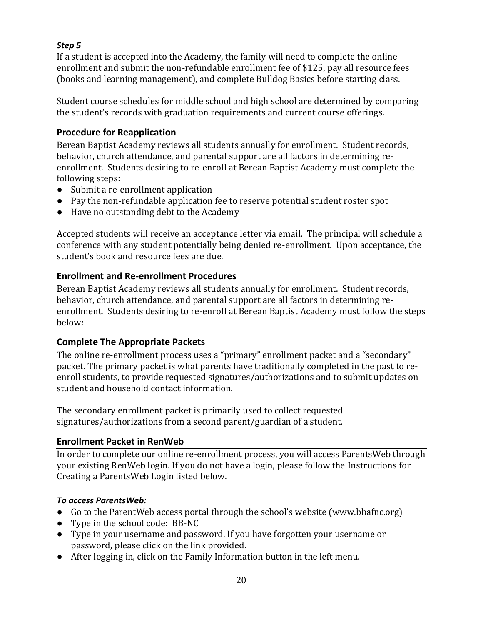## <span id="page-19-0"></span>*Step 5*

If a student is accepted into the Academy, the family will need to complete the online enrollment and submit the non-refundable enrollment fee of \$125, pay all resource fees (books and learning management), and complete Bulldog Basics before starting class.

Student course schedules for middle school and high school are determined by comparing the student's records with graduation requirements and current course offerings.

## <span id="page-19-1"></span>**Procedure for Reapplication**

Berean Baptist Academy reviews all students annually for enrollment. Student records, behavior, church attendance, and parental support are all factors in determining reenrollment. Students desiring to re-enroll at Berean Baptist Academy must complete the following steps:

- Submit a re-enrollment application
- Pay the non-refundable application fee to reserve potential student roster spot
- Have no outstanding debt to the Academy

Accepted students will receive an acceptance letter via email. The principal will schedule a conference with any student potentially being denied re-enrollment. Upon acceptance, the student's book and resource fees are due.

## <span id="page-19-2"></span>**Enrollment and Re-enrollment Procedures**

Berean Baptist Academy reviews all students annually for enrollment. Student records, behavior, church attendance, and parental support are all factors in determining reenrollment. Students desiring to re-enroll at Berean Baptist Academy must follow the steps below:

## <span id="page-19-3"></span>**Complete The Appropriate Packets**

The online re-enrollment process uses a "primary" enrollment packet and a "secondary" packet. The primary packet is what parents have traditionally completed in the past to reenroll students, to provide requested signatures/authorizations and to submit updates on student and household contact information.

The secondary enrollment packet is primarily used to collect requested signatures/authorizations from a second parent/guardian of a student.

#### <span id="page-19-4"></span>**Enrollment Packet in RenWeb**

In order to complete our online re-enrollment process, you will access ParentsWeb through your existing RenWeb login. If you do not have a login, please follow the Instructions for Creating a ParentsWeb Login listed below.

#### <span id="page-19-5"></span>*To access ParentsWeb:*

- Go to the ParentWeb access portal through the school's website (www.bbafnc.org)
- Type in the school code: BB-NC
- Type in your username and password. If you have forgotten your username or password, please click on the link provided.
- After logging in, click on the Family Information button in the left menu.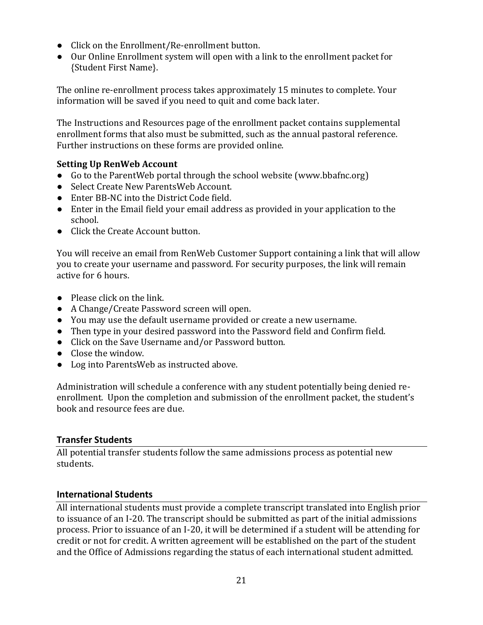- Click on the Enrollment/Re-enrollment button.
- Our Online Enrollment system will open with a link to the enrollment packet for {Student First Name}.

The online re-enrollment process takes approximately 15 minutes to complete. Your information will be saved if you need to quit and come back later.

The Instructions and Resources page of the enrollment packet contains supplemental enrollment forms that also must be submitted, such as the annual pastoral reference. Further instructions on these forms are provided online.

## <span id="page-20-0"></span>**Setting Up RenWeb Account**

- Go to the ParentWeb portal through the school website (www.bbafnc.org)
- Select Create New ParentsWeb Account.
- Enter BB-NC into the District Code field.
- Enter in the Email field your email address as provided in your application to the school.
- Click the Create Account button.

You will receive an email from RenWeb Customer Support containing a link that will allow you to create your username and password. For security purposes, the link will remain active for 6 hours.

- Please click on the link.
- A Change/Create Password screen will open.
- You may use the default username provided or create a new username.
- Then type in your desired password into the Password field and Confirm field.
- Click on the Save Username and/or Password button.
- Close the window.
- Log into ParentsWeb as instructed above.

Administration will schedule a conference with any student potentially being denied reenrollment. Upon the completion and submission of the enrollment packet, the student's book and resource fees are due.

## <span id="page-20-1"></span>**Transfer Students**

All potential transfer students follow the same admissions process as potential new students.

## <span id="page-20-2"></span>**International Students**

All international students must provide a complete transcript translated into English prior to issuance of an I-20. The transcript should be submitted as part of the initial admissions process. Prior to issuance of an I-20, it will be determined if a student will be attending for credit or not for credit. A written agreement will be established on the part of the student and the Office of Admissions regarding the status of each international student admitted.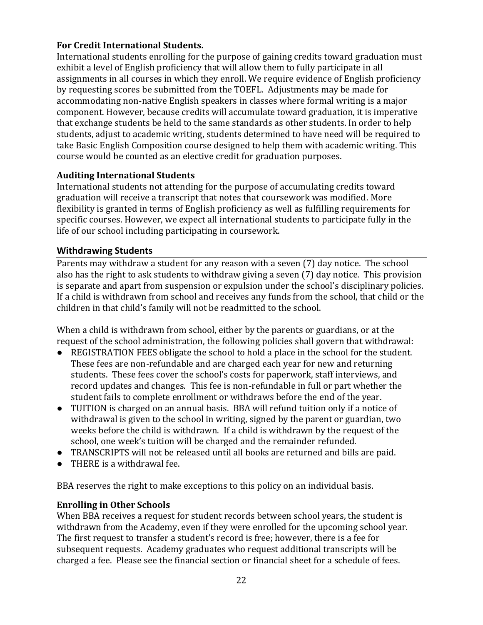## <span id="page-21-0"></span>**For Credit International Students.**

International students enrolling for the purpose of gaining credits toward graduation must exhibit a level of English proficiency that will allow them to fully participate in all assignments in all courses in which they enroll. We require evidence of English proficiency by requesting scores be submitted from the TOEFL. Adjustments may be made for accommodating non-native English speakers in classes where formal writing is a major component. However, because credits will accumulate toward graduation, it is imperative that exchange students be held to the same standards as other students. In order to help students, adjust to academic writing, students determined to have need will be required to take Basic English Composition course designed to help them with academic writing. This course would be counted as an elective credit for graduation purposes.

## <span id="page-21-1"></span>**Auditing International Students**

International students not attending for the purpose of accumulating credits toward graduation will receive a transcript that notes that coursework was modified. More flexibility is granted in terms of English proficiency as well as fulfilling requirements for specific courses. However, we expect all international students to participate fully in the life of our school including participating in coursework.

#### <span id="page-21-2"></span>**Withdrawing Students**

Parents may withdraw a student for any reason with a seven (7) day notice. The school also has the right to ask students to withdraw giving a seven (7) day notice. This provision is separate and apart from suspension or expulsion under the school's disciplinary policies. If a child is withdrawn from school and receives any funds from the school, that child or the children in that child's family will not be readmitted to the school.

When a child is withdrawn from school, either by the parents or guardians, or at the request of the school administration, the following policies shall govern that withdrawal:

- REGISTRATION FEES obligate the school to hold a place in the school for the student. These fees are non-refundable and are charged each year for new and returning students. These fees cover the school's costs for paperwork, staff interviews, and record updates and changes. This fee is non-refundable in full or part whether the student fails to complete enrollment or withdraws before the end of the year.
- TUITION is charged on an annual basis. BBA will refund tuition only if a notice of withdrawal is given to the school in writing, signed by the parent or guardian, two weeks before the child is withdrawn. If a child is withdrawn by the request of the school, one week's tuition will be charged and the remainder refunded.
- TRANSCRIPTS will not be released until all books are returned and bills are paid.
- THERE is a withdrawal fee.

BBA reserves the right to make exceptions to this policy on an individual basis.

#### <span id="page-21-3"></span>**Enrolling in Other Schools**

When BBA receives a request for student records between school years, the student is withdrawn from the Academy, even if they were enrolled for the upcoming school year. The first request to transfer a student's record is free; however, there is a fee for subsequent requests. Academy graduates who request additional transcripts will be charged a fee. Please see the financial section or financial sheet for a schedule of fees.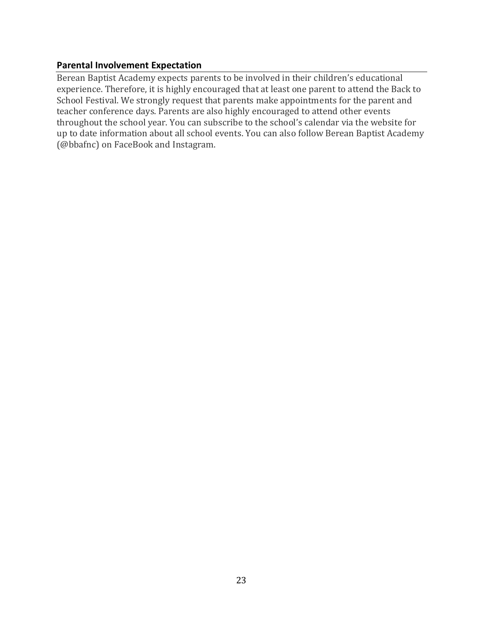## <span id="page-22-0"></span>**Parental Involvement Expectation**

Berean Baptist Academy expects parents to be involved in their children's educational experience. Therefore, it is highly encouraged that at least one parent to attend the Back to School Festival. We strongly request that parents make appointments for the parent and teacher conference days. Parents are also highly encouraged to attend other events throughout the school year. You can subscribe to the school's calendar via the website for up to date information about all school events. You can also follow Berean Baptist Academy (@bbafnc) on FaceBook and Instagram.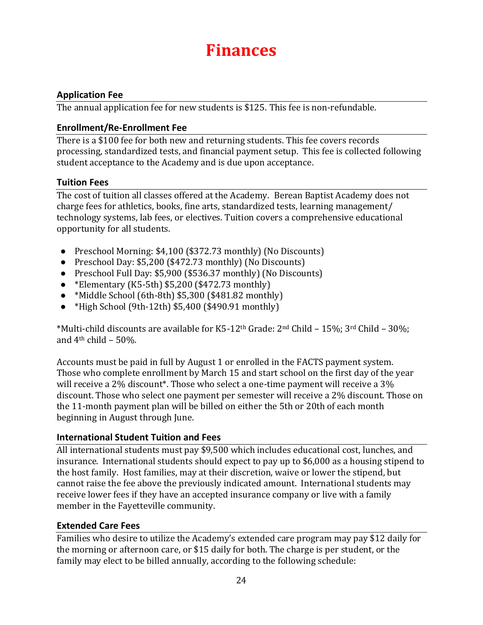## **Finances**

## <span id="page-23-1"></span><span id="page-23-0"></span>**Application Fee**

The annual application fee for new students is \$125. This fee is non-refundable.

#### <span id="page-23-2"></span>**Enrollment/Re-Enrollment Fee**

There is a \$100 fee for both new and returning students. This fee covers records processing, standardized tests, and financial payment setup. This fee is collected following student acceptance to the Academy and is due upon acceptance.

## <span id="page-23-3"></span>**Tuition Fees**

The cost of tuition all classes offered at the Academy. Berean Baptist Academy does not charge fees for athletics, books, fine arts, standardized tests, learning management/ technology systems, lab fees, or electives. Tuition covers a comprehensive educational opportunity for all students.

- Preschool Morning: \$4,100 (\$372.73 monthly) (No Discounts)
- Preschool Day: \$5,200 (\$472.73 monthly) (No Discounts)
- Preschool Full Day: \$5,900 (\$536.37 monthly) (No Discounts)
- \*Elementary (K5-5th) \$5,200 (\$472.73 monthly)
- $\bullet$  \*Middle School (6th-8th) \$5,300 (\$481.82 monthly)
- $\bullet$  \*High School (9th-12th) \$5,400 (\$490.91 monthly)

\*Multi-child discounts are available for K5-12<sup>th</sup> Grade:  $2<sup>nd</sup>$  Child –  $15\%$ ;  $3<sup>rd</sup>$  Child –  $30\%$ ; and  $4<sup>th</sup>$  child – 50%.

Accounts must be paid in full by August 1 or enrolled in the FACTS payment system. Those who complete enrollment by March 15 and start school on the first day of the year will receive a 2% discount\*. Those who select a one-time payment will receive a 3% discount. Those who select one payment per semester will receive a 2% discount. Those on the 11-month payment plan will be billed on either the 5th or 20th of each month beginning in August through June.

## <span id="page-23-4"></span>**International Student Tuition and Fees**

All international students must pay \$9,500 which includes educational cost, lunches, and insurance. International students should expect to pay up to \$6,000 as a housing stipend to the host family. Host families, may at their discretion, waive or lower the stipend, but cannot raise the fee above the previously indicated amount. International students may receive lower fees if they have an accepted insurance company or live with a family member in the Fayetteville community.

#### <span id="page-23-5"></span>**Extended Care Fees**

Families who desire to utilize the Academy's extended care program may pay \$12 daily for the morning or afternoon care, or \$15 daily for both. The charge is per student, or the family may elect to be billed annually, according to the following schedule: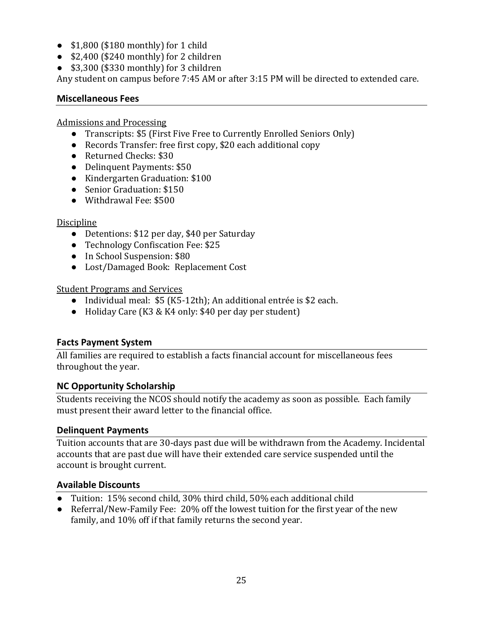- \$1,800 (\$180 monthly) for 1 child
- \$2,400 (\$240 monthly) for 2 children
- \$3,300 (\$330 monthly) for 3 children

Any student on campus before 7:45 AM or after 3:15 PM will be directed to extended care.

#### <span id="page-24-0"></span>**Miscellaneous Fees**

Admissions and Processing

- Transcripts: \$5 (First Five Free to Currently Enrolled Seniors Only)
- Records Transfer: free first copy, \$20 each additional copy
- Returned Checks: \$30
- Delinquent Payments: \$50
- Kindergarten Graduation: \$100
- Senior Graduation: \$150
- Withdrawal Fee: \$500

## **Discipline**

- Detentions: \$12 per day, \$40 per Saturday
- Technology Confiscation Fee: \$25
- In School Suspension: \$80
- Lost/Damaged Book: Replacement Cost

## Student Programs and Services

- Individual meal: \$5 (K5-12th); An additional entrée is \$2 each.
- Holiday Care (K3 & K4 only: \$40 per day per student)

## <span id="page-24-1"></span>**Facts Payment System**

All families are required to establish a facts financial account for miscellaneous fees throughout the year.

## <span id="page-24-2"></span>**NC Opportunity Scholarship**

Students receiving the NCOS should notify the academy as soon as possible. Each family must present their award letter to the financial office.

## <span id="page-24-3"></span>**Delinquent Payments**

Tuition accounts that are 30-days past due will be withdrawn from the Academy. Incidental accounts that are past due will have their extended care service suspended until the account is brought current.

## <span id="page-24-4"></span>**Available Discounts**

- Tuition: 15% second child, 30% third child, 50% each additional child
- Referral/New-Family Fee: 20% off the lowest tuition for the first year of the new family, and 10% off if that family returns the second year.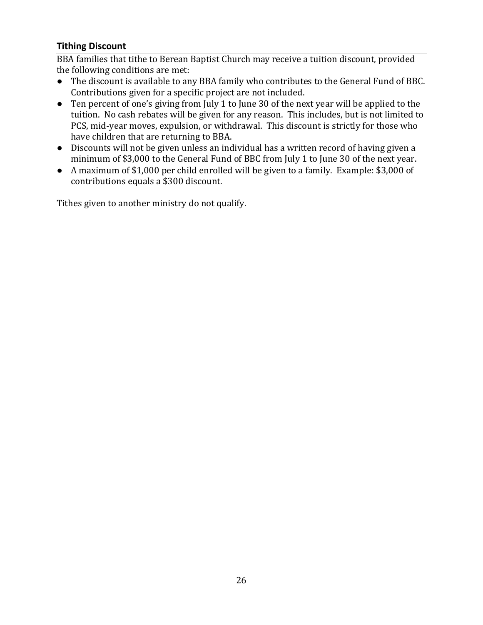## <span id="page-25-0"></span>**Tithing Discount**

BBA families that tithe to Berean Baptist Church may receive a tuition discount, provided the following conditions are met:

- The discount is available to any BBA family who contributes to the General Fund of BBC. Contributions given for a specific project are not included.
- Ten percent of one's giving from July 1 to June 30 of the next year will be applied to the tuition. No cash rebates will be given for any reason. This includes, but is not limited to PCS, mid-year moves, expulsion, or withdrawal. This discount is strictly for those who have children that are returning to BBA.
- Discounts will not be given unless an individual has a written record of having given a minimum of \$3,000 to the General Fund of BBC from July 1 to June 30 of the next year.
- A maximum of \$1,000 per child enrolled will be given to a family. Example: \$3,000 of contributions equals a \$300 discount.

Tithes given to another ministry do not qualify.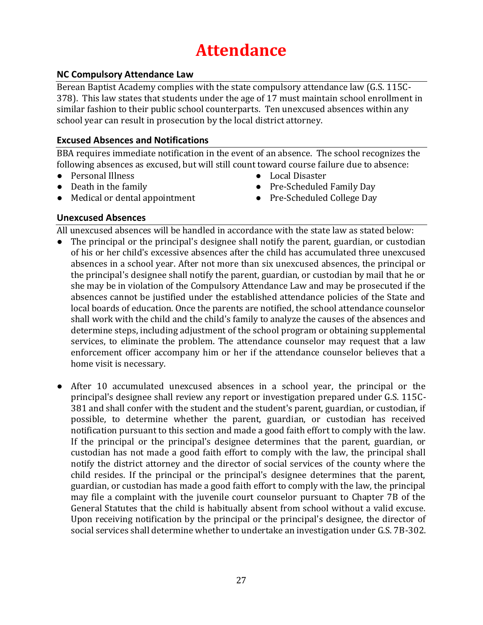## **Attendance**

## <span id="page-26-1"></span><span id="page-26-0"></span>**NC Compulsory Attendance Law**

Berean Baptist Academy complies with the state compulsory attendance law (G.S. 115C-378). This law states that students under the age of 17 must maintain school enrollment in similar fashion to their public school counterparts. Ten unexcused absences within any school year can result in prosecution by the local district attorney.

#### <span id="page-26-2"></span>**Excused Absences and Notifications**

BBA requires immediate notification in the event of an absence. The school recognizes the following absences as excused, but will still count toward course failure due to absence:

- Personal Illness
- Death in the family
- Local Disaster
- Pre-Scheduled Family Day
- Pre-Scheduled College Day
- Medical or dental appointment

## <span id="page-26-3"></span>**Unexcused Absences**

All unexcused absences will be handled in accordance with the state law as stated below:

- The principal or the principal's designee shall notify the parent, guardian, or custodian of his or her child's excessive absences after the child has accumulated three unexcused absences in a school year. After not more than six unexcused absences, the principal or the principal's designee shall notify the parent, guardian, or custodian by mail that he or she may be in violation of the Compulsory Attendance Law and may be prosecuted if the absences cannot be justified under the established attendance policies of the State and local boards of education. Once the parents are notified, the school attendance counselor shall work with the child and the child's family to analyze the causes of the absences and determine steps, including adjustment of the school program or obtaining supplemental services, to eliminate the problem. The attendance counselor may request that a law enforcement officer accompany him or her if the attendance counselor believes that a home visit is necessary.
- After 10 accumulated unexcused absences in a school year, the principal or the principal's designee shall review any report or investigation prepared under G.S. 115C-381 and shall confer with the student and the student's parent, guardian, or custodian, if possible, to determine whether the parent, guardian, or custodian has received notification pursuant to this section and made a good faith effort to comply with the law. If the principal or the principal's designee determines that the parent, guardian, or custodian has not made a good faith effort to comply with the law, the principal shall notify the district attorney and the director of social services of the county where the child resides. If the principal or the principal's designee determines that the parent, guardian, or custodian has made a good faith effort to comply with the law, the principal may file a complaint with the juvenile court counselor pursuant to Chapter 7B of the General Statutes that the child is habitually absent from school without a valid excuse. Upon receiving notification by the principal or the principal's designee, the director of social services shall determine whether to undertake an investigation under G.S. 7B-302.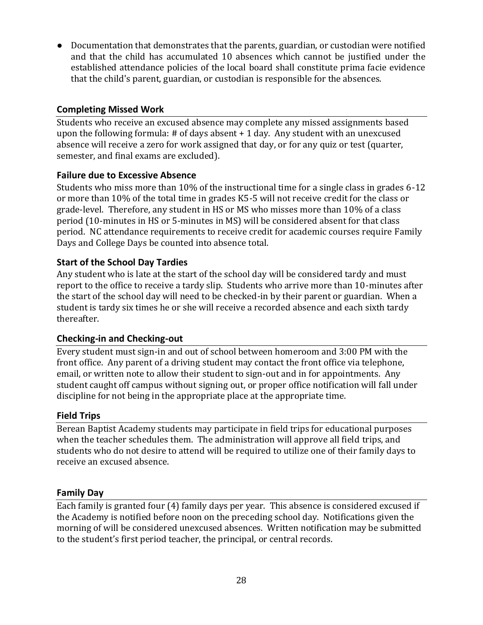● Documentation that demonstrates that the parents, guardian, or custodian were notified and that the child has accumulated 10 absences which cannot be justified under the established attendance policies of the local board shall constitute prima facie evidence that the child's parent, guardian, or custodian is responsible for the absences.

## <span id="page-27-0"></span>**Completing Missed Work**

Students who receive an excused absence may complete any missed assignments based upon the following formula: # of days absent + 1 day. Any student with an unexcused absence will receive a zero for work assigned that day, or for any quiz or test (quarter, semester, and final exams are excluded).

## <span id="page-27-1"></span>**Failure due to Excessive Absence**

Students who miss more than 10% of the instructional time for a single class in grades 6-12 or more than 10% of the total time in grades K5-5 will not receive credit for the class or grade-level. Therefore, any student in HS or MS who misses more than 10% of a class period (10-minutes in HS or 5-minutes in MS) will be considered absent for that class period. NC attendance requirements to receive credit for academic courses require Family Days and College Days be counted into absence total.

## <span id="page-27-2"></span>**Start of the School Day Tardies**

Any student who is late at the start of the school day will be considered tardy and must report to the office to receive a tardy slip. Students who arrive more than 10-minutes after the start of the school day will need to be checked-in by their parent or guardian. When a student is tardy six times he or she will receive a recorded absence and each sixth tardy thereafter.

## <span id="page-27-3"></span>**Checking-in and Checking-out**

Every student must sign-in and out of school between homeroom and 3:00 PM with the front office. Any parent of a driving student may contact the front office via telephone, email, or written note to allow their student to sign-out and in for appointments. Any student caught off campus without signing out, or proper office notification will fall under discipline for not being in the appropriate place at the appropriate time.

## <span id="page-27-4"></span>**Field Trips**

Berean Baptist Academy students may participate in field trips for educational purposes when the teacher schedules them. The administration will approve all field trips, and students who do not desire to attend will be required to utilize one of their family days to receive an excused absence.

#### <span id="page-27-5"></span>**Family Day**

Each family is granted four (4) family days per year. This absence is considered excused if the Academy is notified before noon on the preceding school day. Notifications given the morning of will be considered unexcused absences. Written notification may be submitted to the student's first period teacher, the principal, or central records.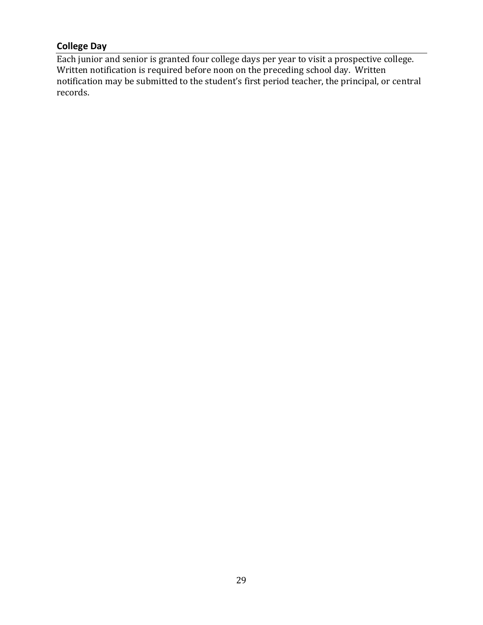## <span id="page-28-0"></span>**College Day**

Each junior and senior is granted four college days per year to visit a prospective college. Written notification is required before noon on the preceding school day. Written notification may be submitted to the student's first period teacher, the principal, or central records.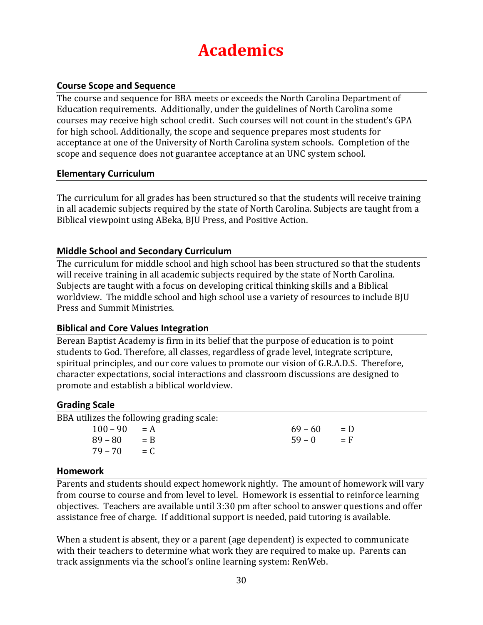## **Academics**

## <span id="page-29-1"></span><span id="page-29-0"></span>**Course Scope and Sequence**

The course and sequence for BBA meets or exceeds the North Carolina Department of Education requirements. Additionally, under the guidelines of North Carolina some courses may receive high school credit. Such courses will not count in the student's GPA for high school. Additionally, the scope and sequence prepares most students for acceptance at one of the University of North Carolina system schools. Completion of the scope and sequence does not guarantee acceptance at an UNC system school.

#### <span id="page-29-2"></span>**Elementary Curriculum**

The curriculum for all grades has been structured so that the students will receive training in all academic subjects required by the state of North Carolina. Subjects are taught from a Biblical viewpoint using ABeka, BJU Press, and Positive Action.

## <span id="page-29-3"></span>**Middle School and Secondary Curriculum**

The curriculum for middle school and high school has been structured so that the students will receive training in all academic subjects required by the state of North Carolina. Subjects are taught with a focus on developing critical thinking skills and a Biblical worldview. The middle school and high school use a variety of resources to include BJU Press and Summit Ministries.

#### <span id="page-29-4"></span>**Biblical and Core Values Integration**

Berean Baptist Academy is firm in its belief that the purpose of education is to point students to God. Therefore, all classes, regardless of grade level, integrate scripture, spiritual principles, and our core values to promote our vision of G.R.A.D.S. Therefore, character expectations, social interactions and classroom discussions are designed to promote and establish a biblical worldview.

#### <span id="page-29-5"></span>**Grading Scale**

BBA utilizes the following grading scale:  $100 - 90 = A$  $89 - 80 = B$  $79 - 70 = C$  $69 - 60 = D$  $59 - 0 = F$ 

#### <span id="page-29-6"></span>**Homework**

Parents and students should expect homework nightly. The amount of homework will vary from course to course and from level to level. Homework is essential to reinforce learning objectives. Teachers are available until 3:30 pm after school to answer questions and offer assistance free of charge. If additional support is needed, paid tutoring is available.

When a student is absent, they or a parent (age dependent) is expected to communicate with their teachers to determine what work they are required to make up. Parents can track assignments via the school's online learning system: RenWeb.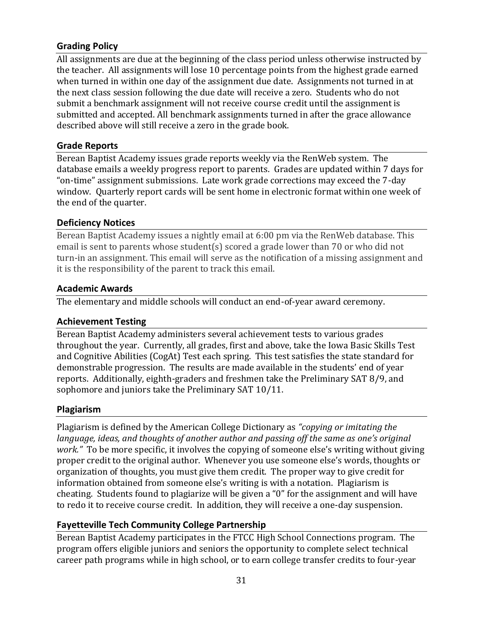## <span id="page-30-0"></span>**Grading Policy**

All assignments are due at the beginning of the class period unless otherwise instructed by the teacher. All assignments will lose 10 percentage points from the highest grade earned when turned in within one day of the assignment due date. Assignments not turned in at the next class session following the due date will receive a zero. Students who do not submit a benchmark assignment will not receive course credit until the assignment is submitted and accepted. All benchmark assignments turned in after the grace allowance described above will still receive a zero in the grade book.

## <span id="page-30-1"></span>**Grade Reports**

Berean Baptist Academy issues grade reports weekly via the RenWeb system. The database emails a weekly progress report to parents. Grades are updated within 7 days for "on-time" assignment submissions. Late work grade corrections may exceed the 7-day window. Quarterly report cards will be sent home in electronic format within one week of the end of the quarter.

## <span id="page-30-2"></span>**Deficiency Notices**

Berean Baptist Academy issues a nightly email at 6:00 pm via the RenWeb database. This email is sent to parents whose student(s) scored a grade lower than 70 or who did not turn-in an assignment. This email will serve as the notification of a missing assignment and it is the responsibility of the parent to track this email.

## <span id="page-30-3"></span>**Academic Awards**

The elementary and middle schools will conduct an end-of-year award ceremony.

## <span id="page-30-4"></span>**Achievement Testing**

Berean Baptist Academy administers several achievement tests to various grades throughout the year. Currently, all grades, first and above, take the Iowa Basic Skills Test and Cognitive Abilities (CogAt) Test each spring. This test satisfies the state standard for demonstrable progression. The results are made available in the students' end of year reports. Additionally, eighth-graders and freshmen take the Preliminary SAT 8/9, and sophomore and juniors take the Preliminary SAT 10/11.

## <span id="page-30-5"></span>**Plagiarism**

Plagiarism is defined by the American College Dictionary as *"copying or imitating the language, ideas, and thoughts of another author and passing off the same as one's original work."* To be more specific, it involves the copying of someone else's writing without giving proper credit to the original author. Whenever you use someone else's words, thoughts or organization of thoughts, you must give them credit. The proper way to give credit for information obtained from someone else's writing is with a notation. Plagiarism is cheating. Students found to plagiarize will be given a "0" for the assignment and will have to redo it to receive course credit. In addition, they will receive a one-day suspension.

## <span id="page-30-6"></span>**Fayetteville Tech Community College Partnership**

Berean Baptist Academy participates in the FTCC High School Connections program. The program offers eligible juniors and seniors the opportunity to complete select technical career path programs while in high school, or to earn college transfer credits to four-year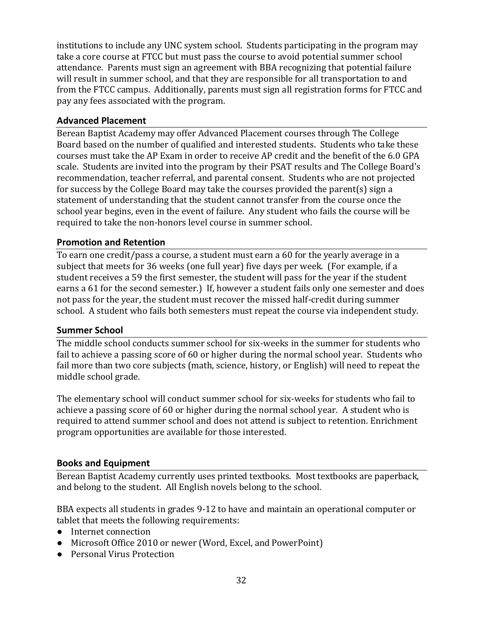institutions to include any UNC system school. Students participating in the program may take a core course at FTCC but must pass the course to avoid potential summer school attendance. Parents must sign an agreement with BBA recognizing that potential failure will result in summer school, and that they are responsible for all transportation to and from the FTCC campus. Additionally, parents must sign all registration forms for FTCC and pay any fees associated with the program.

## <span id="page-31-0"></span>**Advanced Placement**

Berean Baptist Academy may offer Advanced Placement courses through The College Board based on the number of qualified and interested students. Students who take these courses must take the AP Exam in order to receive AP credit and the benefit of the 6.0 GPA scale. Students are invited into the program by their PSAT results and The College Board's recommendation, teacher referral, and parental consent. Students who are not projected for success by the College Board may take the courses provided the parent(s) sign a statement of understanding that the student cannot transfer from the course once the school year begins, even in the event of failure. Any student who fails the course will be required to take the non-honors level course in summer school.

## <span id="page-31-1"></span>**Promotion and Retention**

To earn one credit/pass a course, a student must earn a 60 for the yearly average in a subject that meets for 36 weeks (one full year) five days per week. (For example, if a student receives a 59 the first semester, the student will pass for the year if the student earns a 61 for the second semester.) If, however a student fails only one semester and does not pass for the year, the student must recover the missed half-credit during summer school. A student who fails both semesters must repeat the course via independent study.

#### <span id="page-31-2"></span>**Summer School**

The middle school conducts summer school for six-weeks in the summer for students who fail to achieve a passing score of 60 or higher during the normal school year. Students who fail more than two core subjects (math, science, history, or English) will need to repeat the middle school grade.

The elementary school will conduct summer school for six-weeks for students who fail to achieve a passing score of 60 or higher during the normal school year. A student who is required to attend summer school and does not attend is subject to retention. Enrichment program opportunities are available for those interested.

## <span id="page-31-3"></span>**Books and Equipment**

Berean Baptist Academy currently uses printed textbooks. Most textbooks are paperback, and belong to the student. All English novels belong to the school.

BBA expects all students in grades 9-12 to have and maintain an operational computer or tablet that meets the following requirements:

- Internet connection
- Microsoft Office 2010 or newer (Word, Excel, and PowerPoint)
- Personal Virus Protection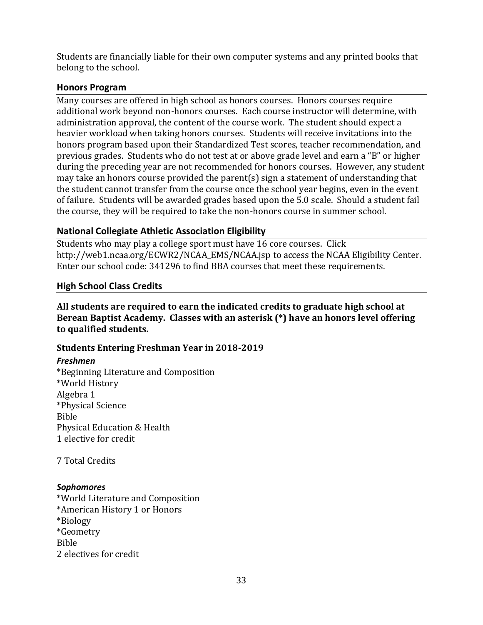Students are financially liable for their own computer systems and any printed books that belong to the school.

#### <span id="page-32-0"></span>**Honors Program**

Many courses are offered in high school as honors courses. Honors courses require additional work beyond non-honors courses. Each course instructor will determine, with administration approval, the content of the course work. The student should expect a heavier workload when taking honors courses. Students will receive invitations into the honors program based upon their Standardized Test scores, teacher recommendation, and previous grades. Students who do not test at or above grade level and earn a "B" or higher during the preceding year are not recommended for honors courses. However, any student may take an honors course provided the parent(s) sign a statement of understanding that the student cannot transfer from the course once the school year begins, even in the event of failure. Students will be awarded grades based upon the 5.0 scale. Should a student fail the course, they will be required to take the non-honors course in summer school.

## <span id="page-32-1"></span>**National Collegiate Athletic Association Eligibility**

Students who may play a college sport must have 16 core courses. Click [http://web1.ncaa.org/ECWR2/NCAA\\_EMS/NCAA.jsp](http://web1.ncaa.org/ECWR2/NCAA_EMS/NCAA.jsp) to access the NCAA Eligibility Center. Enter our school code: 341296 to find BBA courses that meet these requirements.

## <span id="page-32-2"></span>**High School Class Credits**

<span id="page-32-3"></span>**All students are required to earn the indicated credits to graduate high school at Berean Baptist Academy. Classes with an asterisk (\*) have an honors level offering to qualified students.**

#### <span id="page-32-4"></span>**Students Entering Freshman Year in 2018-2019**

#### <span id="page-32-5"></span>*Freshmen*

\*Beginning Literature and Composition \*World History Algebra 1 \*Physical Science Bible Physical Education & Health 1 elective for credit

7 Total Credits

#### <span id="page-32-6"></span>*Sophomores*

\*World Literature and Composition \*American History 1 or Honors \*Biology \*Geometry Bible 2 electives for credit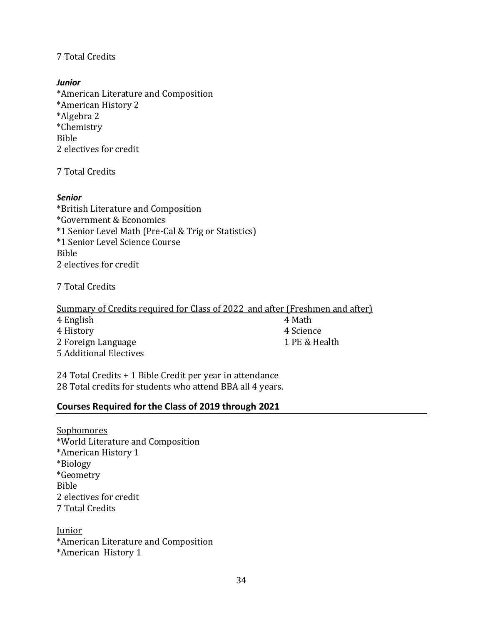## 7 Total Credits

#### <span id="page-33-0"></span>*Junior*

\*American Literature and Composition \*American History 2 \*Algebra 2 \*Chemistry Bible 2 electives for credit

7 Total Credits

#### <span id="page-33-1"></span>*Senior*

\*British Literature and Composition \*Government & Economics \*1 Senior Level Math (Pre-Cal & Trig or Statistics) \*1 Senior Level Science Course Bible 2 electives for credit

7 Total Credits

Summary of Credits required for Class of 2022 and after (Freshmen and after) 4 English 4 Math 4 History 4 Science

2 Foreign Language 2 and 2 Foreign Language 2 and 2 PE & Health 5 Additional Electives

24 Total Credits + 1 Bible Credit per year in attendance 28 Total credits for students who attend BBA all 4 years.

#### <span id="page-33-2"></span>**Courses Required for the Class of 2019 through 2021**

**Sophomores** \*World Literature and Composition \*American History 1 \*Biology \*Geometry Bible 2 electives for credit 7 Total Credits

Junior \*American Literature and Composition \*American History 1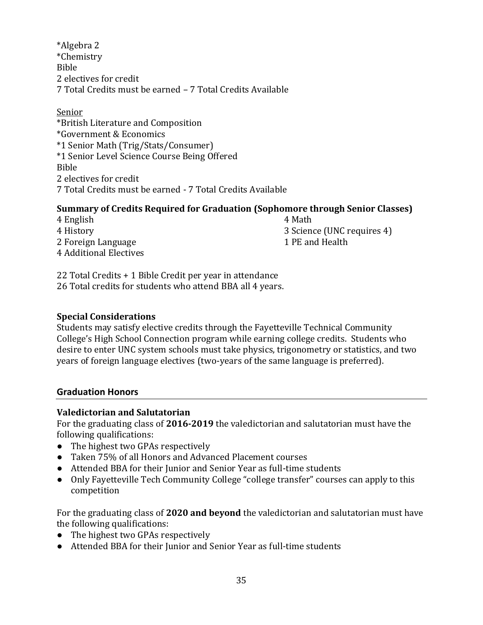\*Algebra 2 \*Chemistry Bible 2 electives for credit 7 Total Credits must be earned – 7 Total Credits Available

#### Senior

\*British Literature and Composition \*Government & Economics \*1 Senior Math (Trig/Stats/Consumer) \*1 Senior Level Science Course Being Offered Bible 2 electives for credit 7 Total Credits must be earned - 7 Total Credits Available

## <span id="page-34-0"></span>**Summary of Credits Required for Graduation (Sophomore through Senior Classes)**

4 English 4 Math 4 History 3 Science (UNC requires 4) 2 Foreign Language 2 and Health 4 Additional Electives

22 Total Credits + 1 Bible Credit per year in attendance 26 Total credits for students who attend BBA all 4 years.

## <span id="page-34-1"></span>**Special Considerations**

Students may satisfy elective credits through the Fayetteville Technical Community College's High School Connection program while earning college credits. Students who desire to enter UNC system schools must take physics, trigonometry or statistics, and two years of foreign language electives (two-years of the same language is preferred).

## <span id="page-34-2"></span>**Graduation Honors**

## <span id="page-34-3"></span>**Valedictorian and Salutatorian**

For the graduating class of **2016-2019** the valedictorian and salutatorian must have the following qualifications:

- The highest two GPAs respectively
- Taken 75% of all Honors and Advanced Placement courses
- Attended BBA for their Junior and Senior Year as full-time students
- Only Fayetteville Tech Community College "college transfer" courses can apply to this competition

For the graduating class of **2020 and beyond** the valedictorian and salutatorian must have the following qualifications:

- The highest two GPAs respectively
- Attended BBA for their Junior and Senior Year as full-time students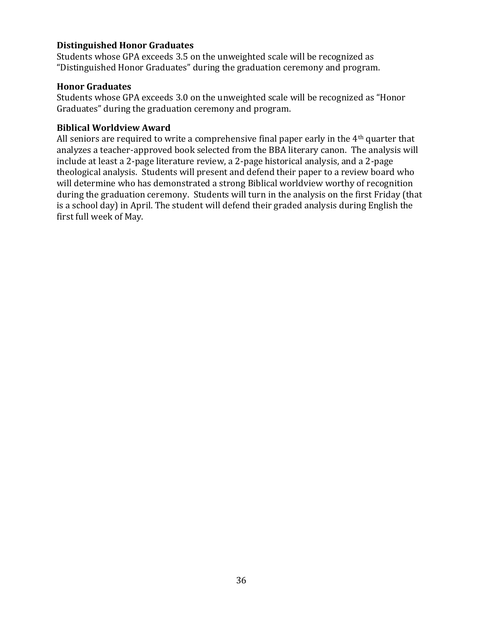#### <span id="page-35-0"></span>**Distinguished Honor Graduates**

Students whose GPA exceeds 3.5 on the unweighted scale will be recognized as "Distinguished Honor Graduates" during the graduation ceremony and program.

#### <span id="page-35-1"></span>**Honor Graduates**

Students whose GPA exceeds 3.0 on the unweighted scale will be recognized as "Honor Graduates" during the graduation ceremony and program.

#### <span id="page-35-2"></span>**Biblical Worldview Award**

All seniors are required to write a comprehensive final paper early in the 4th quarter that analyzes a teacher-approved book selected from the BBA literary canon. The analysis will include at least a 2-page literature review, a 2-page historical analysis, and a 2-page theological analysis. Students will present and defend their paper to a review board who will determine who has demonstrated a strong Biblical worldview worthy of recognition during the graduation ceremony. Students will turn in the analysis on the first Friday (that is a school day) in April. The student will defend their graded analysis during English the first full week of May.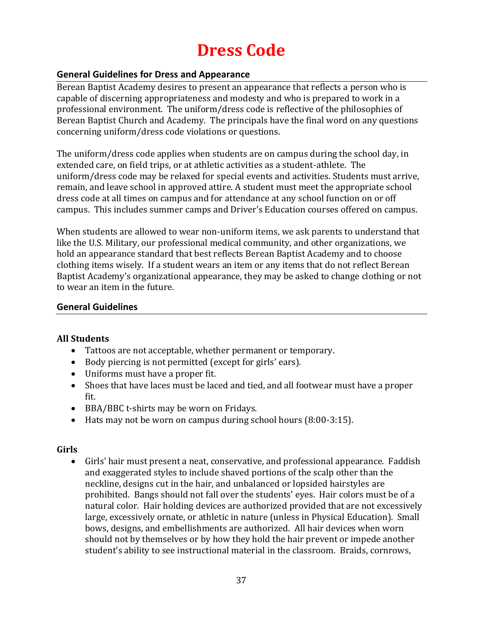## **Dress Code**

#### <span id="page-36-1"></span><span id="page-36-0"></span>**General Guidelines for Dress and Appearance**

Berean Baptist Academy desires to present an appearance that reflects a person who is capable of discerning appropriateness and modesty and who is prepared to work in a professional environment. The uniform/dress code is reflective of the philosophies of Berean Baptist Church and Academy. The principals have the final word on any questions concerning uniform/dress code violations or questions.

The uniform/dress code applies when students are on campus during the school day, in extended care, on field trips, or at athletic activities as a student-athlete. The uniform/dress code may be relaxed for special events and activities. Students must arrive, remain, and leave school in approved attire. A student must meet the appropriate school dress code at all times on campus and for attendance at any school function on or off campus. This includes summer camps and Driver's Education courses offered on campus.

When students are allowed to wear non-uniform items, we ask parents to understand that like the U.S. Military, our professional medical community, and other organizations, we hold an appearance standard that best reflects Berean Baptist Academy and to choose clothing items wisely. If a student wears an item or any items that do not reflect Berean Baptist Academy's organizational appearance, they may be asked to change clothing or not to wear an item in the future.

#### <span id="page-36-2"></span>**General Guidelines**

#### <span id="page-36-3"></span>**All Students**

- Tattoos are not acceptable, whether permanent or temporary.
- Body piercing is not permitted (except for girls' ears).
- Uniforms must have a proper fit.
- Shoes that have laces must be laced and tied, and all footwear must have a proper fit.
- BBA/BBC t-shirts may be worn on Fridays.
- Hats may not be worn on campus during school hours (8:00-3:15).

#### <span id="page-36-4"></span>**Girls**

• Girls' hair must present a neat, conservative, and professional appearance. Faddish and exaggerated styles to include shaved portions of the scalp other than the neckline, designs cut in the hair, and unbalanced or lopsided hairstyles are prohibited. Bangs should not fall over the students' eyes. Hair colors must be of a natural color. Hair holding devices are authorized provided that are not excessively large, excessively ornate, or athletic in nature (unless in Physical Education). Small bows, designs, and embellishments are authorized. All hair devices when worn should not by themselves or by how they hold the hair prevent or impede another student's ability to see instructional material in the classroom. Braids, cornrows,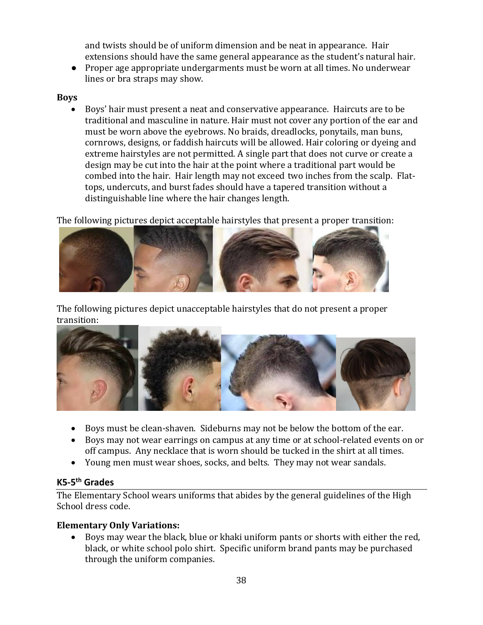and twists should be of uniform dimension and be neat in appearance. Hair extensions should have the same general appearance as the student's natural hair.

● Proper age appropriate undergarments must be worn at all times. No underwear lines or bra straps may show.

## <span id="page-37-0"></span>**Boys**

• Boys' hair must present a neat and conservative appearance. Haircuts are to be traditional and masculine in nature. Hair must not cover any portion of the ear and must be worn above the eyebrows. No braids, dreadlocks, ponytails, man buns, cornrows, designs, or faddish haircuts will be allowed. Hair coloring or dyeing and extreme hairstyles are not permitted. A single part that does not curve or create a design may be cut into the hair at the point where a traditional part would be combed into the hair. Hair length may not exceed two inches from the scalp. Flattops, undercuts, and burst fades should have a tapered transition without a distinguishable line where the hair changes length.

The following pictures depict acceptable hairstyles that present a proper transition:



The following pictures depict unacceptable hairstyles that do not present a proper transition:



- Boys must be clean-shaven. Sideburns may not be below the bottom of the ear.
- Boys may not wear earrings on campus at any time or at school-related events on or off campus. Any necklace that is worn should be tucked in the shirt at all times.
- Young men must wear shoes, socks, and belts. They may not wear sandals.

## <span id="page-37-1"></span>**K5-5 th Grades**

The Elementary School wears uniforms that abides by the general guidelines of the High School dress code.

## <span id="page-37-2"></span>**Elementary Only Variations:**

• Boys may wear the black, blue or khaki uniform pants or shorts with either the red, black, or white school polo shirt. Specific uniform brand pants may be purchased through the uniform companies.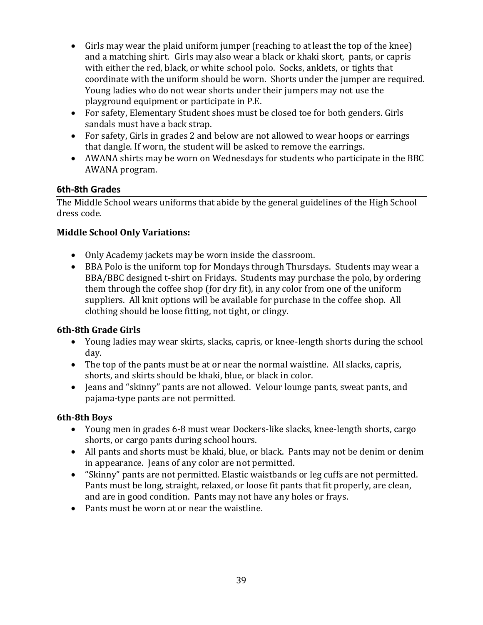- Girls may wear the plaid uniform jumper (reaching to atleast the top of the knee) and a matching shirt. Girls may also wear a black or khaki skort, pants, or capris with either the red, black, or white school polo. Socks, anklets, or tights that coordinate with the uniform should be worn. Shorts under the jumper are required. Young ladies who do not wear shorts under their jumpers may not use the playground equipment or participate in P.E.
- For safety, Elementary Student shoes must be closed toe for both genders. Girls sandals must have a back strap.
- For safety, Girls in grades 2 and below are not allowed to wear hoops or earrings that dangle. If worn, the student will be asked to remove the earrings.
- AWANA shirts may be worn on Wednesdays for students who participate in the BBC AWANA program.

## <span id="page-38-0"></span>**6th-8th Grades**

The Middle School wears uniforms that abide by the general guidelines of the High School dress code.

## <span id="page-38-1"></span>**Middle School Only Variations:**

- Only Academy jackets may be worn inside the classroom.
- BBA Polo is the uniform top for Mondays through Thursdays. Students may wear a BBA/BBC designed t-shirt on Fridays. Students may purchase the polo, by ordering them through the coffee shop (for dry fit), in any color from one of the uniform suppliers. All knit options will be available for purchase in the coffee shop. All clothing should be loose fitting, not tight, or clingy.

## <span id="page-38-2"></span>**6th-8th Grade Girls**

- Young ladies may wear skirts, slacks, capris, or knee-length shorts during the school day.
- The top of the pants must be at or near the normal waistline. All slacks, capris, shorts, and skirts should be khaki, blue, or black in color.
- Jeans and "skinny" pants are not allowed. Velour lounge pants, sweat pants, and pajama-type pants are not permitted.

## <span id="page-38-3"></span>**6th-8th Boys**

- Young men in grades 6-8 must wear Dockers-like slacks, knee-length shorts, cargo shorts, or cargo pants during school hours.
- All pants and shorts must be khaki, blue, or black. Pants may not be denim or denim in appearance. Jeans of any color are not permitted.
- "Skinny" pants are not permitted. Elastic waistbands or leg cuffs are not permitted. Pants must be long, straight, relaxed, or loose fit pants that fit properly, are clean, and are in good condition. Pants may not have any holes or frays.
- Pants must be worn at or near the waistline.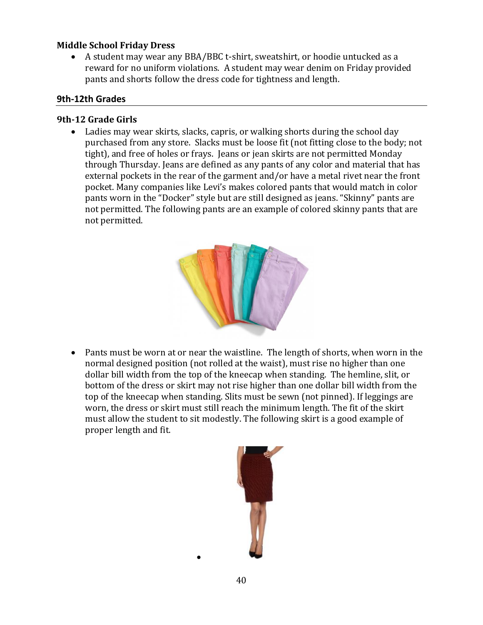#### <span id="page-39-0"></span>**Middle School Friday Dress**

• A student may wear any BBA/BBC t-shirt, sweatshirt, or hoodie untucked as a reward for no uniform violations. A student may wear denim on Friday provided pants and shorts follow the dress code for tightness and length.

#### <span id="page-39-1"></span>**9th-12th Grades**

#### <span id="page-39-2"></span>**9th-12 Grade Girls**

• Ladies may wear skirts, slacks, capris, or walking shorts during the school day purchased from any store. Slacks must be loose fit (not fitting close to the body; not tight), and free of holes or frays. Jeans or jean skirts are not permitted Monday through Thursday. Jeans are defined as any pants of any color and material that has external pockets in the rear of the garment and/or have a metal rivet near the front pocket. Many companies like Levi's makes colored pants that would match in color pants worn in the "Docker" style but are still designed as jeans. "Skinny" pants are not permitted. The following pants are an example of colored skinny pants that are not permitted.



• Pants must be worn at or near the waistline. The length of shorts, when worn in the normal designed position (not rolled at the waist), must rise no higher than one dollar bill width from the top of the kneecap when standing. The hemline, slit, or bottom of the dress or skirt may not rise higher than one dollar bill width from the top of the kneecap when standing. Slits must be sewn (not pinned). If leggings are worn, the dress or skirt must still reach the minimum length. The fit of the skirt must allow the student to sit modestly. The following skirt is a good example of proper length and fit.



•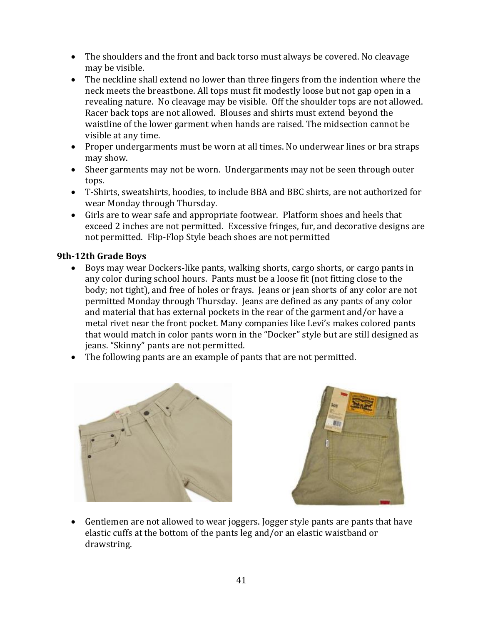- The shoulders and the front and back torso must always be covered. No cleavage may be visible.
- The neckline shall extend no lower than three fingers from the indention where the neck meets the breastbone. All tops must fit modestly loose but not gap open in a revealing nature. No cleavage may be visible. Off the shoulder tops are not allowed. Racer back tops are not allowed. Blouses and shirts must extend beyond the waistline of the lower garment when hands are raised. The midsection cannot be visible at any time.
- Proper undergarments must be worn at all times. No underwear lines or bra straps may show.
- Sheer garments may not be worn. Undergarments may not be seen through outer tops.
- T-Shirts, sweatshirts, hoodies, to include BBA and BBC shirts, are not authorized for wear Monday through Thursday.
- Girls are to wear safe and appropriate footwear. Platform shoes and heels that exceed 2 inches are not permitted. Excessive fringes, fur, and decorative designs are not permitted. Flip-Flop Style beach shoes are not permitted

## <span id="page-40-0"></span>**9th-12th Grade Boys**

- Boys may wear Dockers-like pants, walking shorts, cargo shorts, or cargo pants in any color during school hours. Pants must be a loose fit (not fitting close to the body; not tight), and free of holes or frays. Jeans or jean shorts of any color are not permitted Monday through Thursday. Jeans are defined as any pants of any color and material that has external pockets in the rear of the garment and/or have a metal rivet near the front pocket. Many companies like Levi's makes colored pants that would match in color pants worn in the "Docker" style but are still designed as jeans. "Skinny" pants are not permitted.
- The following pants are an example of pants that are not permitted.





• Gentlemen are not allowed to wear joggers. Jogger style pants are pants that have elastic cuffs at the bottom of the pants leg and/or an elastic waistband or drawstring.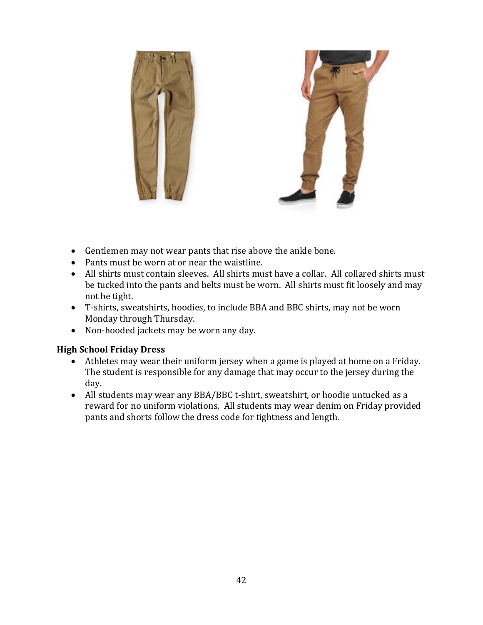

- Gentlemen may not wear pants that rise above the ankle bone.
- Pants must be worn at or near the waistline.
- All shirts must contain sleeves. All shirts must have a collar. All collared shirts must be tucked into the pants and belts must be worn. All shirts must fit loosely and may not be tight.
- T-shirts, sweatshirts, hoodies, to include BBA and BBC shirts, may not be worn Monday through Thursday.
- Non-hooded jackets may be worn any day.

#### <span id="page-41-0"></span>**High School Friday Dress**

- Athletes may wear their uniform jersey when a game is played at home on a Friday. The student is responsible for any damage that may occur to the jersey during the day.
- All students may wear any BBA/BBC t-shirt, sweatshirt, or hoodie untucked as a reward for no uniform violations. All students may wear denim on Friday provided pants and shorts follow the dress code for tightness and length.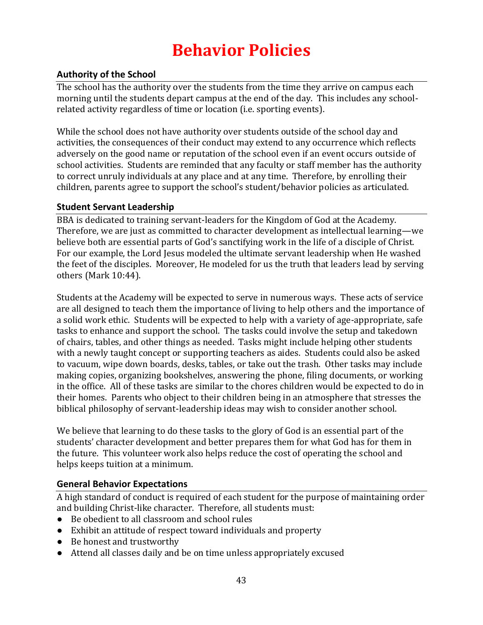## **Behavior Policies**

## <span id="page-42-1"></span><span id="page-42-0"></span>**Authority of the School**

The school has the authority over the students from the time they arrive on campus each morning until the students depart campus at the end of the day. This includes any schoolrelated activity regardless of time or location (i.e. sporting events).

While the school does not have authority over students outside of the school day and activities, the consequences of their conduct may extend to any occurrence which reflects adversely on the good name or reputation of the school even if an event occurs outside of school activities. Students are reminded that any faculty or staff member has the authority to correct unruly individuals at any place and at any time. Therefore, by enrolling their children, parents agree to support the school's student/behavior policies as articulated.

## <span id="page-42-2"></span>**Student Servant Leadership**

BBA is dedicated to training servant-leaders for the Kingdom of God at the Academy. Therefore, we are just as committed to character development as intellectual learning—we believe both are essential parts of God's sanctifying work in the life of a disciple of Christ. For our example, the Lord Jesus modeled the ultimate servant leadership when He washed the feet of the disciples. Moreover, He modeled for us the truth that leaders lead by serving others (Mark 10:44).

Students at the Academy will be expected to serve in numerous ways. These acts of service are all designed to teach them the importance of living to help others and the importance of a solid work ethic. Students will be expected to help with a variety of age-appropriate, safe tasks to enhance and support the school. The tasks could involve the setup and takedown of chairs, tables, and other things as needed. Tasks might include helping other students with a newly taught concept or supporting teachers as aides. Students could also be asked to vacuum, wipe down boards, desks, tables, or take out the trash. Other tasks may include making copies, organizing bookshelves, answering the phone, filing documents, or working in the office. All of these tasks are similar to the chores children would be expected to do in their homes. Parents who object to their children being in an atmosphere that stresses the biblical philosophy of servant-leadership ideas may wish to consider another school.

We believe that learning to do these tasks to the glory of God is an essential part of the students' character development and better prepares them for what God has for them in the future. This volunteer work also helps reduce the cost of operating the school and helps keeps tuition at a minimum.

## <span id="page-42-3"></span>**General Behavior Expectations**

A high standard of conduct is required of each student for the purpose of maintaining order and building Christ-like character. Therefore, all students must:

- Be obedient to all classroom and school rules
- Exhibit an attitude of respect toward individuals and property
- Be honest and trustworthy
- Attend all classes daily and be on time unless appropriately excused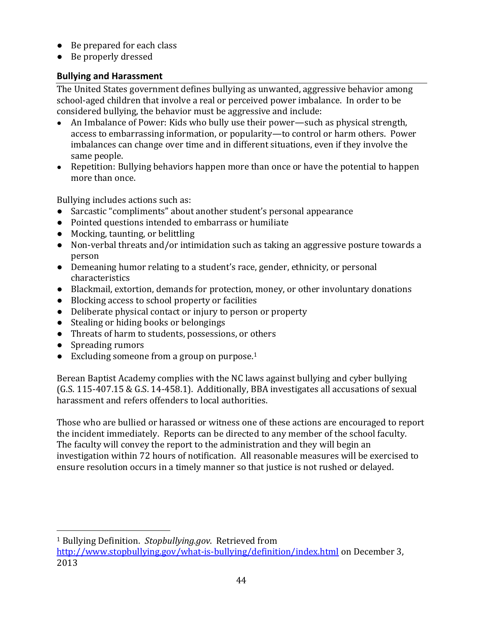- Be prepared for each class
- Be properly dressed

## <span id="page-43-0"></span>**Bullying and Harassment**

The United States government defines bullying as unwanted, aggressive behavior among school-aged children that involve a real or perceived power imbalance. In order to be considered bullying, the behavior must be aggressive and include:

- An Imbalance of Power: Kids who bully use their power—such as physical strength, access to embarrassing information, or popularity—to control or harm others. Power imbalances can change over time and in different situations, even if they involve the same people.
- Repetition: Bullying behaviors happen more than once or have the potential to happen more than once.

Bullying includes actions such as:

- Sarcastic "compliments" about another student's personal appearance
- Pointed questions intended to embarrass or humiliate
- Mocking, taunting, or belittling
- Non-verbal threats and/or intimidation such as taking an aggressive posture towards a person
- Demeaning humor relating to a student's race, gender, ethnicity, or personal characteristics
- Blackmail, extortion, demands for protection, money, or other involuntary donations
- Blocking access to school property or facilities
- Deliberate physical contact or injury to person or property
- Stealing or hiding books or belongings
- Threats of harm to students, possessions, or others
- Spreading rumors

 $\overline{\phantom{a}}$ 

● Excluding someone from a group on purpose.<sup>1</sup>

Berean Baptist Academy complies with the NC laws against bullying and cyber bullying (G.S. 115-407.15 & G.S. 14-458.1). Additionally, BBA investigates all accusations of sexual harassment and refers offenders to local authorities.

Those who are bullied or harassed or witness one of these actions are encouraged to report the incident immediately. Reports can be directed to any member of the school faculty. The faculty will convey the report to the administration and they will begin an investigation within 72 hours of notification. All reasonable measures will be exercised to ensure resolution occurs in a timely manner so that justice is not rushed or delayed.

<sup>1</sup> Bullying Definition. *Stopbullying.gov*. Retrieved from

<http://www.stopbullying.gov/what-is-bullying/definition/index.html> on December 3, 2013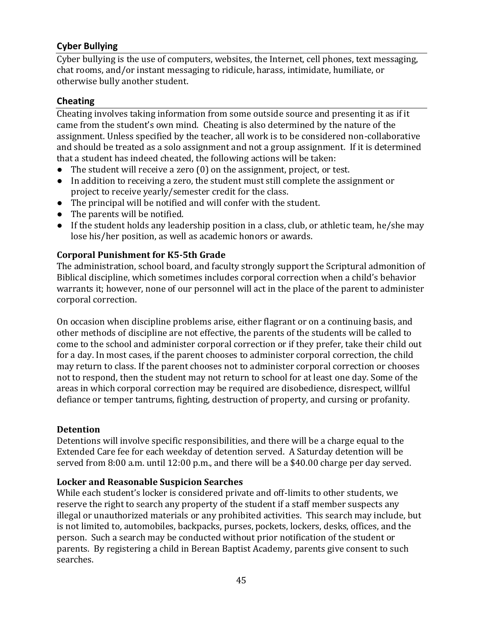## <span id="page-44-0"></span>**Cyber Bullying**

Cyber bullying is the use of computers, websites, the Internet, cell phones, text messaging, chat rooms, and/or instant messaging to ridicule, harass, intimidate, humiliate, or otherwise bully another student.

#### <span id="page-44-1"></span>**Cheating**

Cheating involves taking information from some outside source and presenting it as if it came from the student's own mind. Cheating is also determined by the nature of the assignment. Unless specified by the teacher, all work is to be considered non-collaborative and should be treated as a solo assignment and not a group assignment. If it is determined that a student has indeed cheated, the following actions will be taken:

- The student will receive a zero (0) on the assignment, project, or test.
- In addition to receiving a zero, the student must still complete the assignment or project to receive yearly/semester credit for the class.
- The principal will be notified and will confer with the student.
- The parents will be notified.
- If the student holds any leadership position in a class, club, or athletic team, he/she may lose his/her position, as well as academic honors or awards.

## <span id="page-44-2"></span>**Corporal Punishment for K5-5th Grade**

The administration, school board, and faculty strongly support the Scriptural admonition of Biblical discipline, which sometimes includes corporal correction when a child's behavior warrants it; however, none of our personnel will act in the place of the parent to administer corporal correction.

On occasion when discipline problems arise, either flagrant or on a continuing basis, and other methods of discipline are not effective, the parents of the students will be called to come to the school and administer corporal correction or if they prefer, take their child out for a day. In most cases, if the parent chooses to administer corporal correction, the child may return to class. If the parent chooses not to administer corporal correction or chooses not to respond, then the student may not return to school for at least one day. Some of the areas in which corporal correction may be required are disobedience, disrespect, willful defiance or temper tantrums, fighting, destruction of property, and cursing or profanity.

#### <span id="page-44-3"></span>**Detention**

Detentions will involve specific responsibilities, and there will be a charge equal to the Extended Care fee for each weekday of detention served. A Saturday detention will be served from 8:00 a.m. until 12:00 p.m., and there will be a \$40.00 charge per day served.

#### <span id="page-44-4"></span>**Locker and Reasonable Suspicion Searches**

While each student's locker is considered private and off-limits to other students, we reserve the right to search any property of the student if a staff member suspects any illegal or unauthorized materials or any prohibited activities. This search may include, but is not limited to, automobiles, backpacks, purses, pockets, lockers, desks, offices, and the person. Such a search may be conducted without prior notification of the student or parents. By registering a child in Berean Baptist Academy, parents give consent to such searches.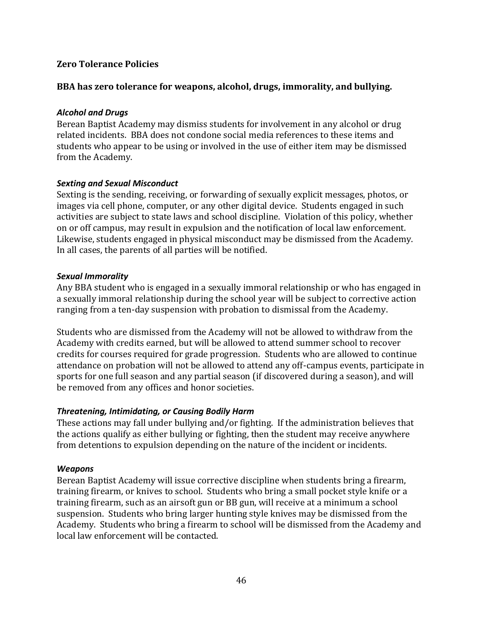#### <span id="page-45-0"></span>**Zero Tolerance Policies**

#### **BBA has zero tolerance for weapons, alcohol, drugs, immorality, and bullying.**

#### <span id="page-45-1"></span>*Alcohol and Drugs*

Berean Baptist Academy may dismiss students for involvement in any alcohol or drug related incidents. BBA does not condone social media references to these items and students who appear to be using or involved in the use of either item may be dismissed from the Academy.

#### <span id="page-45-2"></span>*Sexting and Sexual Misconduct*

Sexting is the sending, receiving, or forwarding of sexually explicit messages, photos, or images via cell phone, computer, or any other digital device. Students engaged in such activities are subject to state laws and school discipline. Violation of this policy, whether on or off campus, may result in expulsion and the notification of local law enforcement. Likewise, students engaged in physical misconduct may be dismissed from the Academy. In all cases, the parents of all parties will be notified.

#### <span id="page-45-3"></span>*Sexual Immorality*

Any BBA student who is engaged in a sexually immoral relationship or who has engaged in a sexually immoral relationship during the school year will be subject to corrective action ranging from a ten-day suspension with probation to dismissal from the Academy.

Students who are dismissed from the Academy will not be allowed to withdraw from the Academy with credits earned, but will be allowed to attend summer school to recover credits for courses required for grade progression. Students who are allowed to continue attendance on probation will not be allowed to attend any off-campus events, participate in sports for one full season and any partial season (if discovered during a season), and will be removed from any offices and honor societies.

#### <span id="page-45-4"></span>*Threatening, Intimidating, or Causing Bodily Harm*

These actions may fall under bullying and/or fighting. If the administration believes that the actions qualify as either bullying or fighting, then the student may receive anywhere from detentions to expulsion depending on the nature of the incident or incidents.

#### <span id="page-45-5"></span>*Weapons*

Berean Baptist Academy will issue corrective discipline when students bring a firearm, training firearm, or knives to school. Students who bring a small pocket style knife or a training firearm, such as an airsoft gun or BB gun, will receive at a minimum a school suspension. Students who bring larger hunting style knives may be dismissed from the Academy. Students who bring a firearm to school will be dismissed from the Academy and local law enforcement will be contacted.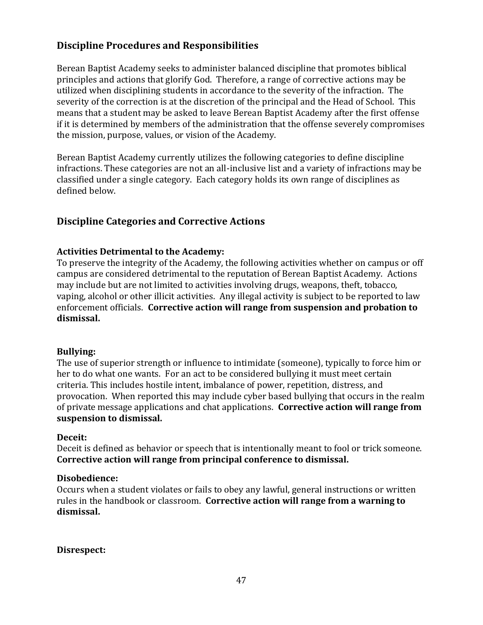## <span id="page-46-0"></span>**Discipline Procedures and Responsibilities**

Berean Baptist Academy seeks to administer balanced discipline that promotes biblical principles and actions that glorify God. Therefore, a range of corrective actions may be utilized when disciplining students in accordance to the severity of the infraction. The severity of the correction is at the discretion of the principal and the Head of School. This means that a student may be asked to leave Berean Baptist Academy after the first offense if it is determined by members of the administration that the offense severely compromises the mission, purpose, values, or vision of the Academy.

Berean Baptist Academy currently utilizes the following categories to define discipline infractions. These categories are not an all-inclusive list and a variety of infractions may be classified under a single category. Each category holds its own range of disciplines as defined below.

## <span id="page-46-1"></span>**Discipline Categories and Corrective Actions**

#### <span id="page-46-2"></span>**Activities Detrimental to the Academy:**

To preserve the integrity of the Academy, the following activities whether on campus or off campus are considered detrimental to the reputation of Berean Baptist Academy. Actions may include but are not limited to activities involving drugs, weapons, theft, tobacco, vaping, alcohol or other illicit activities. Any illegal activity is subject to be reported to law enforcement officials. **Corrective action will range from suspension and probation to dismissal.**

#### **Bullying:**

The use of superior strength or influence to intimidate (someone), typically to force him or her to do what one wants. For an act to be considered bullying it must meet certain criteria. This includes hostile intent, imbalance of power, repetition, distress, and provocation. When reported this may include cyber based bullying that occurs in the realm of private message applications and chat applications. **Corrective action will range from suspension to dismissal.**

#### <span id="page-46-3"></span>**Deceit:**

Deceit is defined as behavior or speech that is intentionally meant to fool or trick someone. **Corrective action will range from principal conference to dismissal.**

#### <span id="page-46-4"></span>**Disobedience:**

Occurs when a student violates or fails to obey any lawful, general instructions or written rules in the handbook or classroom. **Corrective action will range from a warning to dismissal.**

<span id="page-46-5"></span>**Disrespect:**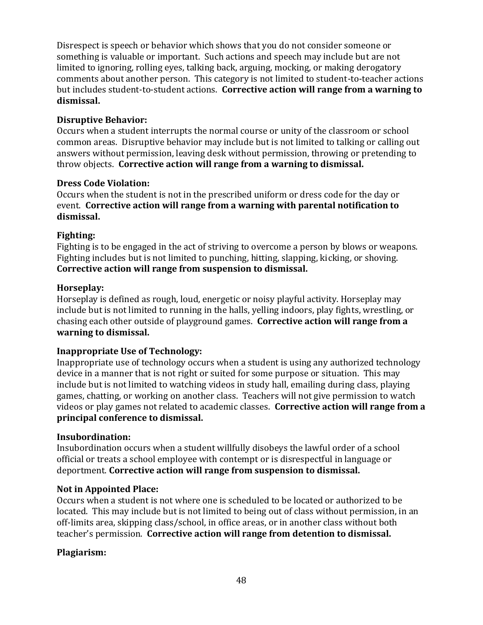Disrespect is speech or behavior which shows that you do not consider someone or something is valuable or important. Such actions and speech may include but are not limited to ignoring, rolling eyes, talking back, arguing, mocking, or making derogatory comments about another person. This category is not limited to student-to-teacher actions but includes student-to-student actions. **Corrective action will range from a warning to dismissal.**

## <span id="page-47-0"></span>**Disruptive Behavior:**

Occurs when a student interrupts the normal course or unity of the classroom or school common areas. Disruptive behavior may include but is not limited to talking or calling out answers without permission, leaving desk without permission, throwing or pretending to throw objects. **Corrective action will range from a warning to dismissal.**

#### <span id="page-47-1"></span>**Dress Code Violation:**

Occurs when the student is not in the prescribed uniform or dress code for the day or event. **Corrective action will range from a warning with parental notification to dismissal.**

## <span id="page-47-2"></span>**Fighting:**

Fighting is to be engaged in the act of striving to overcome a person by blows or weapons. Fighting includes but is not limited to punching, hitting, slapping, kicking, or shoving. **Corrective action will range from suspension to dismissal.**

## <span id="page-47-3"></span>**Horseplay:**

Horseplay is defined as rough, loud, energetic or noisy playful activity. Horseplay may include but is not limited to running in the halls, yelling indoors, play fights, wrestling, or chasing each other outside of playground games. **Corrective action will range from a warning to dismissal.**

## <span id="page-47-4"></span>**Inappropriate Use of Technology:**

Inappropriate use of technology occurs when a student is using any authorized technology device in a manner that is not right or suited for some purpose or situation. This may include but is not limited to watching videos in study hall, emailing during class, playing games, chatting, or working on another class. Teachers will not give permission to watch videos or play games not related to academic classes. **Corrective action will range from a principal conference to dismissal.**

#### <span id="page-47-5"></span>**Insubordination:**

Insubordination occurs when a student willfully disobeys the lawful order of a school official or treats a school employee with contempt or is disrespectful in language or deportment. **Corrective action will range from suspension to dismissal.**

#### <span id="page-47-6"></span>**Not in Appointed Place:**

Occurs when a student is not where one is scheduled to be located or authorized to be located. This may include but is not limited to being out of class without permission, in an off-limits area, skipping class/school, in office areas, or in another class without both teacher's permission. **Corrective action will range from detention to dismissal.**

#### <span id="page-47-7"></span>**Plagiarism:**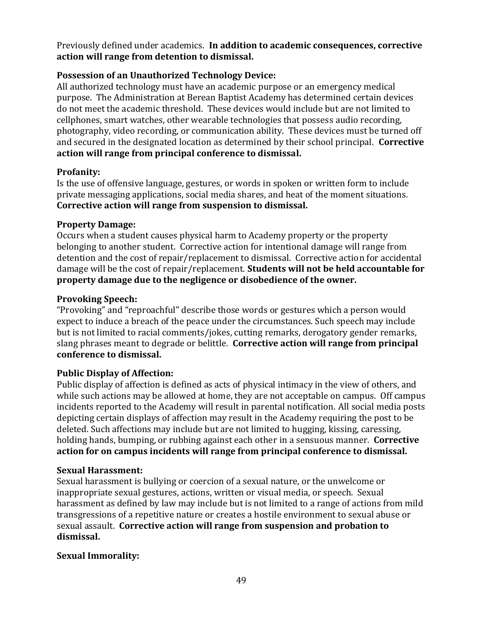Previously defined under academics. **In addition to academic consequences, corrective action will range from detention to dismissal.**

## <span id="page-48-0"></span>**Possession of an Unauthorized Technology Device:**

All authorized technology must have an academic purpose or an emergency medical purpose. The Administration at Berean Baptist Academy has determined certain devices do not meet the academic threshold. These devices would include but are not limited to cellphones, smart watches, other wearable technologies that possess audio recording, photography, video recording, or communication ability. These devices must be turned off and secured in the designated location as determined by their school principal. **Corrective action will range from principal conference to dismissal.**

## <span id="page-48-1"></span>**Profanity:**

Is the use of offensive language, gestures, or words in spoken or written form to include private messaging applications, social media shares, and heat of the moment situations. **Corrective action will range from suspension to dismissal.**

## <span id="page-48-2"></span>**Property Damage:**

Occurs when a student causes physical harm to Academy property or the property belonging to another student. Corrective action for intentional damage will range from detention and the cost of repair/replacement to dismissal. Corrective action for accidental damage will be the cost of repair/replacement. **Students will not be held accountable for property damage due to the negligence or disobedience of the owner.**

## <span id="page-48-3"></span>**Provoking Speech:**

"Provoking" and "reproachful" describe those words or gestures which a person would expect to induce a breach of the peace under the circumstances. Such speech may include but is not limited to racial comments/jokes, cutting remarks, derogatory gender remarks, slang phrases meant to degrade or belittle. **Corrective action will range from principal conference to dismissal.**

## <span id="page-48-4"></span>**Public Display of Affection:**

Public display of affection is defined as acts of physical intimacy in the view of others, and while such actions may be allowed at home, they are not acceptable on campus. Off campus incidents reported to the Academy will result in parental notification. All social media posts depicting certain displays of affection may result in the Academy requiring the post to be deleted. Such affections may include but are not limited to hugging, kissing, caressing, holding hands, bumping, or rubbing against each other in a sensuous manner. **Corrective action for on campus incidents will range from principal conference to dismissal.**

#### <span id="page-48-5"></span>**Sexual Harassment:**

Sexual harassment is bullying or coercion of a sexual nature, or the unwelcome or inappropriate sexual gestures, actions, written or visual media, or speech. Sexual harassment as defined by law may include but is not limited to a range of actions from mild transgressions of a repetitive nature or creates a hostile environment to sexual abuse or sexual assault. **Corrective action will range from suspension and probation to dismissal.**

#### <span id="page-48-6"></span>**Sexual Immorality:**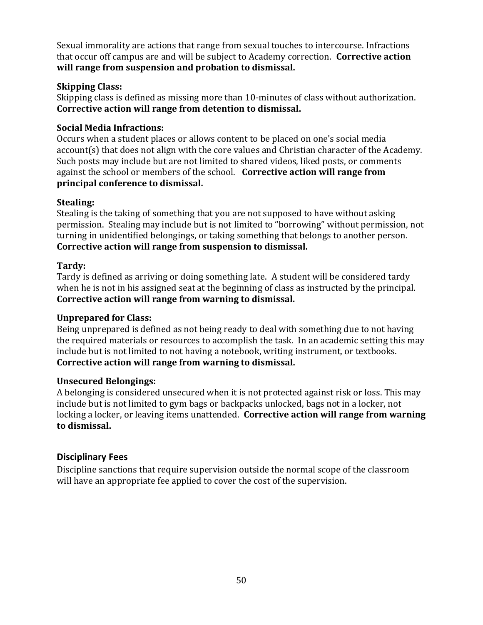Sexual immorality are actions that range from sexual touches to intercourse. Infractions that occur off campus are and will be subject to Academy correction. **Corrective action will range from suspension and probation to dismissal.**

## <span id="page-49-0"></span>**Skipping Class:**

Skipping class is defined as missing more than 10-minutes of class without authorization. **Corrective action will range from detention to dismissal.** 

## <span id="page-49-1"></span>**Social Media Infractions:**

Occurs when a student places or allows content to be placed on one's social media account(s) that does not align with the core values and Christian character of the Academy. Such posts may include but are not limited to shared videos, liked posts, or comments against the school or members of the school. **Corrective action will range from principal conference to dismissal.**

#### <span id="page-49-2"></span>**Stealing:**

Stealing is the taking of something that you are not supposed to have without asking permission. Stealing may include but is not limited to "borrowing" without permission, not turning in unidentified belongings, or taking something that belongs to another person. **Corrective action will range from suspension to dismissal.**

## <span id="page-49-3"></span>**Tardy:**

Tardy is defined as arriving or doing something late. A student will be considered tardy when he is not in his assigned seat at the beginning of class as instructed by the principal. **Corrective action will range from warning to dismissal.**

#### <span id="page-49-4"></span>**Unprepared for Class:**

Being unprepared is defined as not being ready to deal with something due to not having the required materials or resources to accomplish the task. In an academic setting this may include but is not limited to not having a notebook, writing instrument, or textbooks. **Corrective action will range from warning to dismissal.**

#### <span id="page-49-5"></span>**Unsecured Belongings:**

A belonging is considered unsecured when it is not protected against risk or loss. This may include but is not limited to gym bags or backpacks unlocked, bags not in a locker, not locking a locker, or leaving items unattended. **Corrective action will range from warning to dismissal.**

## <span id="page-49-6"></span>**Disciplinary Fees**

Discipline sanctions that require supervision outside the normal scope of the classroom will have an appropriate fee applied to cover the cost of the supervision.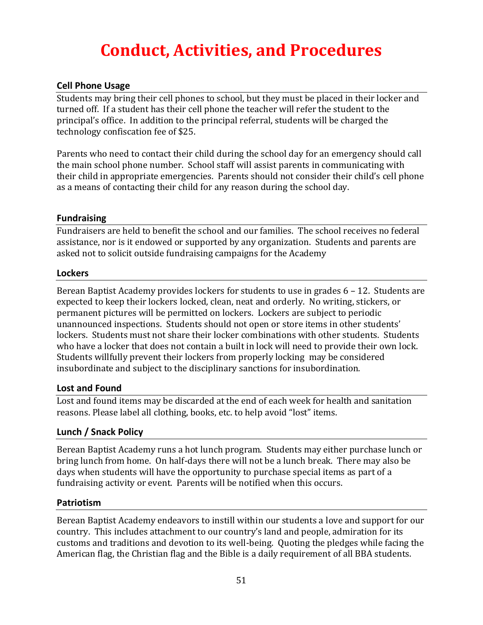## **Conduct, Activities, and Procedures**

## <span id="page-50-1"></span><span id="page-50-0"></span>**Cell Phone Usage**

Students may bring their cell phones to school, but they must be placed in their locker and turned off. If a student has their cell phone the teacher will refer the student to the principal's office. In addition to the principal referral, students will be charged the technology confiscation fee of \$25.

Parents who need to contact their child during the school day for an emergency should call the main school phone number. School staff will assist parents in communicating with their child in appropriate emergencies. Parents should not consider their child's cell phone as a means of contacting their child for any reason during the school day.

#### <span id="page-50-2"></span>**Fundraising**

Fundraisers are held to benefit the school and our families. The school receives no federal assistance, nor is it endowed or supported by any organization. Students and parents are asked not to solicit outside fundraising campaigns for the Academy

#### <span id="page-50-3"></span>**Lockers**

Berean Baptist Academy provides lockers for students to use in grades 6 – 12. Students are expected to keep their lockers locked, clean, neat and orderly. No writing, stickers, or permanent pictures will be permitted on lockers. Lockers are subject to periodic unannounced inspections. Students should not open or store items in other students' lockers. Students must not share their locker combinations with other students. Students who have a locker that does not contain a built in lock will need to provide their own lock. Students willfully prevent their lockers from properly locking may be considered insubordinate and subject to the disciplinary sanctions for insubordination.

#### <span id="page-50-4"></span>**Lost and Found**

Lost and found items may be discarded at the end of each week for health and sanitation reasons. Please label all clothing, books, etc. to help avoid "lost" items.

#### <span id="page-50-5"></span>**Lunch / Snack Policy**

Berean Baptist Academy runs a hot lunch program. Students may either purchase lunch or bring lunch from home. On half-days there will not be a lunch break. There may also be days when students will have the opportunity to purchase special items as part of a fundraising activity or event. Parents will be notified when this occurs.

#### <span id="page-50-6"></span>**Patriotism**

Berean Baptist Academy endeavors to instill within our students a love and support for our country. This includes attachment to our country's land and people, admiration for its customs and traditions and devotion to its well-being. Quoting the pledges while facing the American flag, the Christian flag and the Bible is a daily requirement of all BBA students.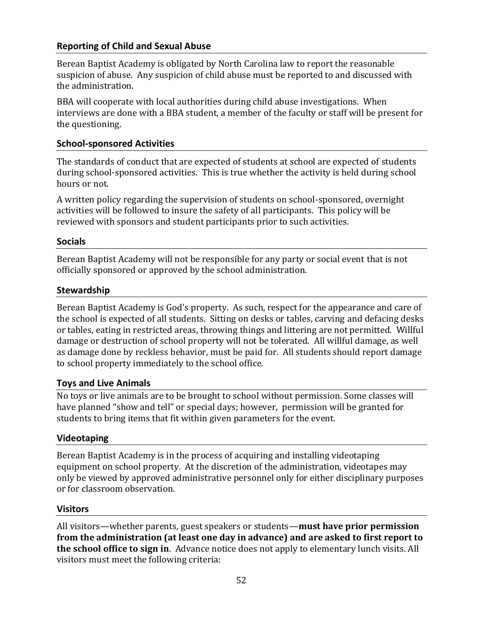## <span id="page-51-0"></span>**Reporting of Child and Sexual Abuse**

Berean Baptist Academy is obligated by North Carolina law to report the reasonable suspicion of abuse. Any suspicion of child abuse must be reported to and discussed with the administration.

BBA will cooperate with local authorities during child abuse investigations. When interviews are done with a BBA student, a member of the faculty or staff will be present for the questioning.

#### <span id="page-51-1"></span>**School-sponsored Activities**

The standards of conduct that are expected of students at school are expected of students during school-sponsored activities. This is true whether the activity is held during school hours or not.

A written policy regarding the supervision of students on school-sponsored, overnight activities will be followed to insure the safety of all participants. This policy will be reviewed with sponsors and student participants prior to such activities.

#### <span id="page-51-2"></span>**Socials**

Berean Baptist Academy will not be responsible for any party or social event that is not officially sponsored or approved by the school administration.

#### <span id="page-51-3"></span>**Stewardship**

Berean Baptist Academy is God's property. As such, respect for the appearance and care of the school is expected of all students. Sitting on desks or tables, carving and defacing desks or tables, eating in restricted areas, throwing things and littering are not permitted. Willful damage or destruction of school property will not be tolerated. All willful damage, as well as damage done by reckless behavior, must be paid for. All students should report damage to school property immediately to the school office.

#### <span id="page-51-4"></span>**Toys and Live Animals**

No toys or live animals are to be brought to school without permission. Some classes will have planned "show and tell" or special days; however, permission will be granted for students to bring items that fit within given parameters for the event.

#### <span id="page-51-5"></span>**Videotaping**

Berean Baptist Academy is in the process of acquiring and installing videotaping equipment on school property. At the discretion of the administration, videotapes may only be viewed by approved administrative personnel only for either disciplinary purposes or for classroom observation.

#### <span id="page-51-6"></span>**Visitors**

All visitors—whether parents, guest speakers or students—**must have prior permission from the administration (at least one day in advance) and are asked to first report to the school office to sign in**. Advance notice does not apply to elementary lunch visits. All visitors must meet the following criteria: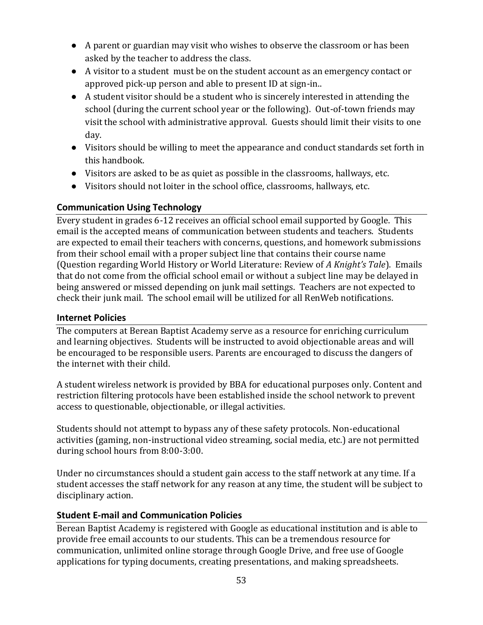- A parent or guardian may visit who wishes to observe the classroom or has been asked by the teacher to address the class.
- A visitor to a student must be on the student account as an emergency contact or approved pick-up person and able to present ID at sign-in..
- A student visitor should be a student who is sincerely interested in attending the school (during the current school year or the following). Out-of-town friends may visit the school with administrative approval. Guests should limit their visits to one day.
- Visitors should be willing to meet the appearance and conduct standards set forth in this handbook.
- Visitors are asked to be as quiet as possible in the classrooms, hallways, etc.
- Visitors should not loiter in the school office, classrooms, hallways, etc.

#### <span id="page-52-0"></span>**Communication Using Technology**

Every student in grades 6-12 receives an official school email supported by Google. This email is the accepted means of communication between students and teachers. Students are expected to email their teachers with concerns, questions, and homework submissions from their school email with a proper subject line that contains their course name (Question regarding World History or World Literature: Review of *A Knight's Tale*). Emails that do not come from the official school email or without a subject line may be delayed in being answered or missed depending on junk mail settings. Teachers are not expected to check their junk mail. The school email will be utilized for all RenWeb notifications.

#### <span id="page-52-1"></span>**Internet Policies**

The computers at Berean Baptist Academy serve as a resource for enriching curriculum and learning objectives. Students will be instructed to avoid objectionable areas and will be encouraged to be responsible users. Parents are encouraged to discuss the dangers of the internet with their child.

A student wireless network is provided by BBA for educational purposes only. Content and restriction filtering protocols have been established inside the school network to prevent access to questionable, objectionable, or illegal activities.

Students should not attempt to bypass any of these safety protocols. Non-educational activities (gaming, non-instructional video streaming, social media, etc.) are not permitted during school hours from 8:00-3:00.

Under no circumstances should a student gain access to the staff network at any time. If a student accesses the staff network for any reason at any time, the student will be subject to disciplinary action.

#### <span id="page-52-2"></span>**Student E-mail and Communication Policies**

Berean Baptist Academy is registered with Google as educational institution and is able to provide free email accounts to our students. This can be a tremendous resource for communication, unlimited online storage through Google Drive, and free use of Google applications for typing documents, creating presentations, and making spreadsheets.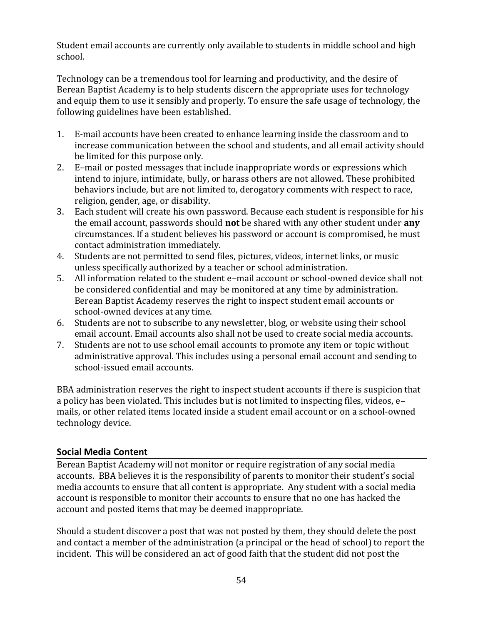Student email accounts are currently only available to students in middle school and high school.

Technology can be a tremendous tool for learning and productivity, and the desire of Berean Baptist Academy is to help students discern the appropriate uses for technology and equip them to use it sensibly and properly. To ensure the safe usage of technology, the following guidelines have been established.

- 1. E-mail accounts have been created to enhance learning inside the classroom and to increase communication between the school and students, and all email activity should be limited for this purpose only.
- 2. E–mail or posted messages that include inappropriate words or expressions which intend to injure, intimidate, bully, or harass others are not allowed. These prohibited behaviors include, but are not limited to, derogatory comments with respect to race, religion, gender, age, or disability.
- 3. Each student will create his own password. Because each student is responsible for his the email account, passwords should **not** be shared with any other student under **any** circumstances. If a student believes his password or account is compromised, he must contact administration immediately.
- 4. Students are not permitted to send files, pictures, videos, internet links, or music unless specifically authorized by a teacher or school administration.
- 5. All information related to the student e–mail account or school-owned device shall not be considered confidential and may be monitored at any time by administration. Berean Baptist Academy reserves the right to inspect student email accounts or school-owned devices at any time.
- 6. Students are not to subscribe to any newsletter, blog, or website using their school email account. Email accounts also shall not be used to create social media accounts.
- 7. Students are not to use school email accounts to promote any item or topic without administrative approval. This includes using a personal email account and sending to school-issued email accounts.

BBA administration reserves the right to inspect student accounts if there is suspicion that a policy has been violated. This includes but is not limited to inspecting files, videos, e– mails, or other related items located inside a student email account or on a school-owned technology device.

## <span id="page-53-0"></span>**Social Media Content**

Berean Baptist Academy will not monitor or require registration of any social media accounts. BBA believes it is the responsibility of parents to monitor their student's social media accounts to ensure that all content is appropriate. Any student with a social media account is responsible to monitor their accounts to ensure that no one has hacked the account and posted items that may be deemed inappropriate.

Should a student discover a post that was not posted by them, they should delete the post and contact a member of the administration (a principal or the head of school) to report the incident. This will be considered an act of good faith that the student did not post the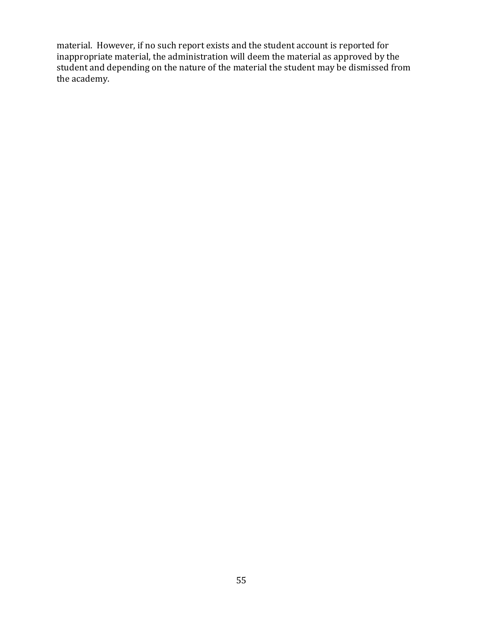material. However, if no such report exists and the student account is reported for inappropriate material, the administration will deem the material as approved by the student and depending on the nature of the material the student may be dismissed from the academy.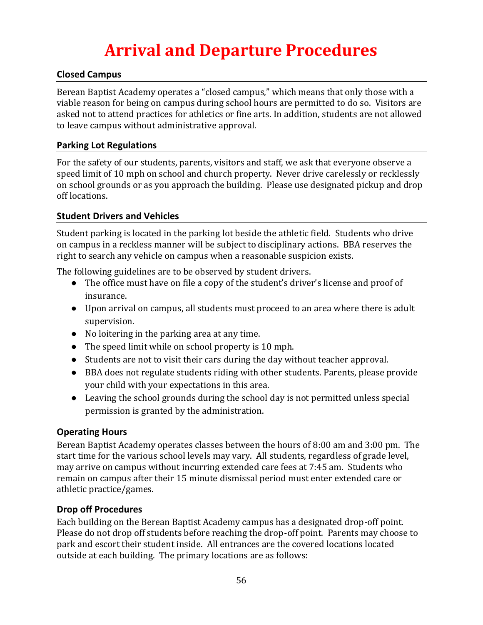## **Arrival and Departure Procedures**

## <span id="page-55-1"></span><span id="page-55-0"></span>**Closed Campus**

Berean Baptist Academy operates a "closed campus," which means that only those with a viable reason for being on campus during school hours are permitted to do so. Visitors are asked not to attend practices for athletics or fine arts. In addition, students are not allowed to leave campus without administrative approval.

#### <span id="page-55-2"></span>**Parking Lot Regulations**

For the safety of our students, parents, visitors and staff, we ask that everyone observe a speed limit of 10 mph on school and church property. Never drive carelessly or recklessly on school grounds or as you approach the building. Please use designated pickup and drop off locations.

## <span id="page-55-3"></span>**Student Drivers and Vehicles**

Student parking is located in the parking lot beside the athletic field. Students who drive on campus in a reckless manner will be subject to disciplinary actions. BBA reserves the right to search any vehicle on campus when a reasonable suspicion exists.

The following guidelines are to be observed by student drivers.

- The office must have on file a copy of the student's driver's license and proof of insurance.
- Upon arrival on campus, all students must proceed to an area where there is adult supervision.
- No loitering in the parking area at any time.
- The speed limit while on school property is 10 mph.
- Students are not to visit their cars during the day without teacher approval.
- BBA does not regulate students riding with other students. Parents, please provide your child with your expectations in this area.
- Leaving the school grounds during the school day is not permitted unless special permission is granted by the administration.

## <span id="page-55-4"></span>**Operating Hours**

Berean Baptist Academy operates classes between the hours of 8:00 am and 3:00 pm. The start time for the various school levels may vary. All students, regardless of grade level, may arrive on campus without incurring extended care fees at 7:45 am. Students who remain on campus after their 15 minute dismissal period must enter extended care or athletic practice/games.

#### <span id="page-55-5"></span>**Drop off Procedures**

Each building on the Berean Baptist Academy campus has a designated drop-off point. Please do not drop off students before reaching the drop-off point. Parents may choose to park and escort their student inside. All entrances are the covered locations located outside at each building. The primary locations are as follows: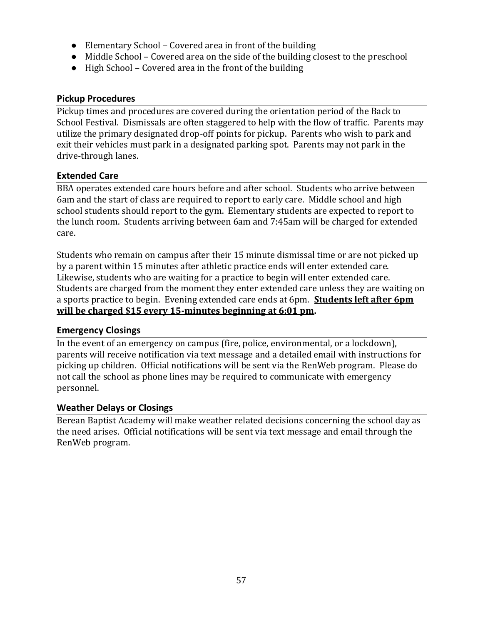- Elementary School Covered area in front of the building
- Middle School Covered area on the side of the building closest to the preschool
- High School Covered area in the front of the building

## <span id="page-56-0"></span>**Pickup Procedures**

Pickup times and procedures are covered during the orientation period of the Back to School Festival. Dismissals are often staggered to help with the flow of traffic. Parents may utilize the primary designated drop-off points for pickup. Parents who wish to park and exit their vehicles must park in a designated parking spot. Parents may not park in the drive-through lanes.

## <span id="page-56-1"></span>**Extended Care**

BBA operates extended care hours before and after school. Students who arrive between 6am and the start of class are required to report to early care. Middle school and high school students should report to the gym. Elementary students are expected to report to the lunch room. Students arriving between 6am and 7:45am will be charged for extended care.

Students who remain on campus after their 15 minute dismissal time or are not picked up by a parent within 15 minutes after athletic practice ends will enter extended care. Likewise, students who are waiting for a practice to begin will enter extended care. Students are charged from the moment they enter extended care unless they are waiting on a sports practice to begin. Evening extended care ends at 6pm. **Students left after 6pm will be charged \$15 every 15-minutes beginning at 6:01 pm.** 

## <span id="page-56-2"></span>**Emergency Closings**

In the event of an emergency on campus (fire, police, environmental, or a lockdown), parents will receive notification via text message and a detailed email with instructions for picking up children. Official notifications will be sent via the RenWeb program. Please do not call the school as phone lines may be required to communicate with emergency personnel.

#### <span id="page-56-3"></span>**Weather Delays or Closings**

Berean Baptist Academy will make weather related decisions concerning the school day as the need arises. Official notifications will be sent via text message and email through the RenWeb program.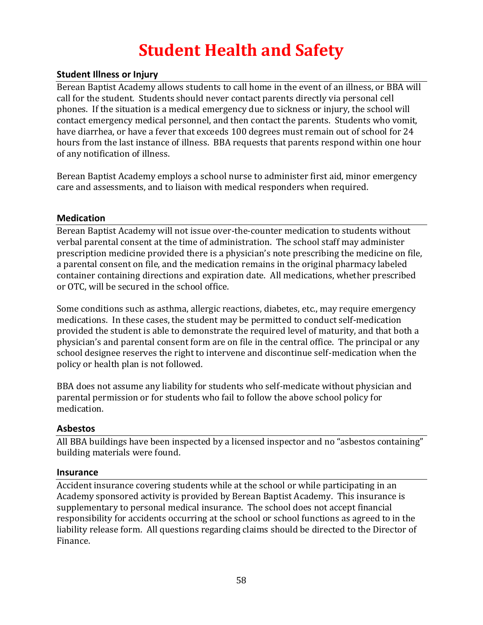## **Student Health and Safety**

## <span id="page-57-1"></span><span id="page-57-0"></span>**Student Illness or Injury**

Berean Baptist Academy allows students to call home in the event of an illness, or BBA will call for the student. Students should never contact parents directly via personal cell phones. If the situation is a medical emergency due to sickness or injury, the school will contact emergency medical personnel, and then contact the parents. Students who vomit, have diarrhea, or have a fever that exceeds 100 degrees must remain out of school for 24 hours from the last instance of illness. BBA requests that parents respond within one hour of any notification of illness.

Berean Baptist Academy employs a school nurse to administer first aid, minor emergency care and assessments, and to liaison with medical responders when required.

#### <span id="page-57-2"></span>**Medication**

Berean Baptist Academy will not issue over-the-counter medication to students without verbal parental consent at the time of administration. The school staff may administer prescription medicine provided there is a physician's note prescribing the medicine on file, a parental consent on file, and the medication remains in the original pharmacy labeled container containing directions and expiration date. All medications, whether prescribed or OTC, will be secured in the school office.

Some conditions such as asthma, allergic reactions, diabetes, etc., may require emergency medications. In these cases, the student may be permitted to conduct self-medication provided the student is able to demonstrate the required level of maturity, and that both a physician's and parental consent form are on file in the central office. The principal or any school designee reserves the right to intervene and discontinue self-medication when the policy or health plan is not followed.

BBA does not assume any liability for students who self-medicate without physician and parental permission or for students who fail to follow the above school policy for medication.

#### <span id="page-57-3"></span>**Asbestos**

All BBA buildings have been inspected by a licensed inspector and no "asbestos containing" building materials were found.

#### <span id="page-57-4"></span>**Insurance**

Accident insurance covering students while at the school or while participating in an Academy sponsored activity is provided by Berean Baptist Academy. This insurance is supplementary to personal medical insurance. The school does not accept financial responsibility for accidents occurring at the school or school functions as agreed to in the liability release form. All questions regarding claims should be directed to the Director of Finance.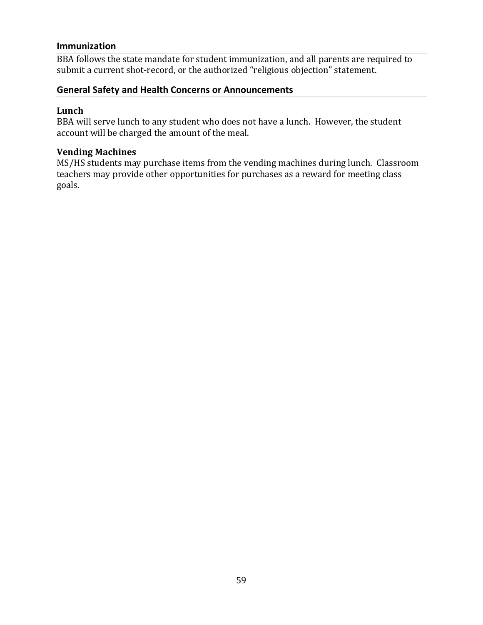#### <span id="page-58-0"></span>**Immunization**

BBA follows the state mandate for student immunization, and all parents are required to submit a current shot-record, or the authorized "religious objection" statement.

#### <span id="page-58-1"></span>**General Safety and Health Concerns or Announcements**

## <span id="page-58-2"></span>**Lunch**

BBA will serve lunch to any student who does not have a lunch. However, the student account will be charged the amount of the meal.

#### <span id="page-58-3"></span>**Vending Machines**

MS/HS students may purchase items from the vending machines during lunch. Classroom teachers may provide other opportunities for purchases as a reward for meeting class goals.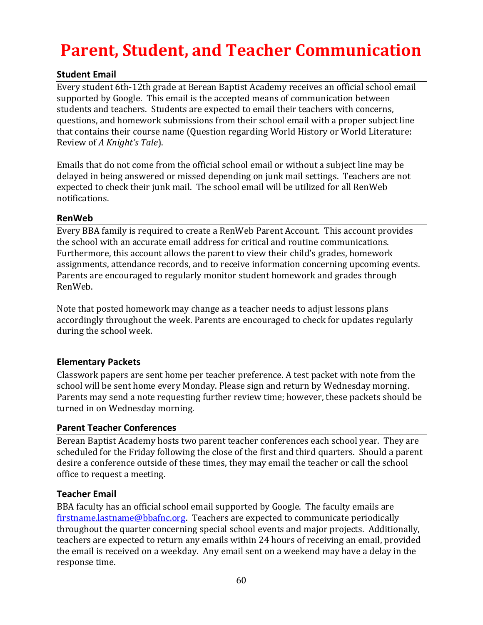## <span id="page-59-0"></span>**Parent, Student, and Teacher Communication**

## <span id="page-59-1"></span>**Student Email**

Every student 6th-12th grade at Berean Baptist Academy receives an official school email supported by Google. This email is the accepted means of communication between students and teachers. Students are expected to email their teachers with concerns, questions, and homework submissions from their school email with a proper subject line that contains their course name (Question regarding World History or World Literature: Review of *A Knight's Tale*).

Emails that do not come from the official school email or without a subject line may be delayed in being answered or missed depending on junk mail settings. Teachers are not expected to check their junk mail. The school email will be utilized for all RenWeb notifications.

## <span id="page-59-2"></span>**RenWeb**

Every BBA family is required to create a RenWeb Parent Account. This account provides the school with an accurate email address for critical and routine communications. Furthermore, this account allows the parent to view their child's grades, homework assignments, attendance records, and to receive information concerning upcoming events. Parents are encouraged to regularly monitor student homework and grades through RenWeb.

Note that posted homework may change as a teacher needs to adjust lessons plans accordingly throughout the week. Parents are encouraged to check for updates regularly during the school week.

## <span id="page-59-3"></span>**Elementary Packets**

Classwork papers are sent home per teacher preference. A test packet with note from the school will be sent home every Monday. Please sign and return by Wednesday morning. Parents may send a note requesting further review time; however, these packets should be turned in on Wednesday morning.

## <span id="page-59-4"></span>**Parent Teacher Conferences**

Berean Baptist Academy hosts two parent teacher conferences each school year. They are scheduled for the Friday following the close of the first and third quarters. Should a parent desire a conference outside of these times, they may email the teacher or call the school office to request a meeting.

## <span id="page-59-5"></span>**Teacher Email**

BBA faculty has an official school email supported by Google. The faculty emails are [firstname.lastname@bbafnc.org.](mailto:firstname.lastname@bbafnc.org) Teachers are expected to communicate periodically throughout the quarter concerning special school events and major projects. Additionally, teachers are expected to return any emails within 24 hours of receiving an email, provided the email is received on a weekday. Any email sent on a weekend may have a delay in the response time.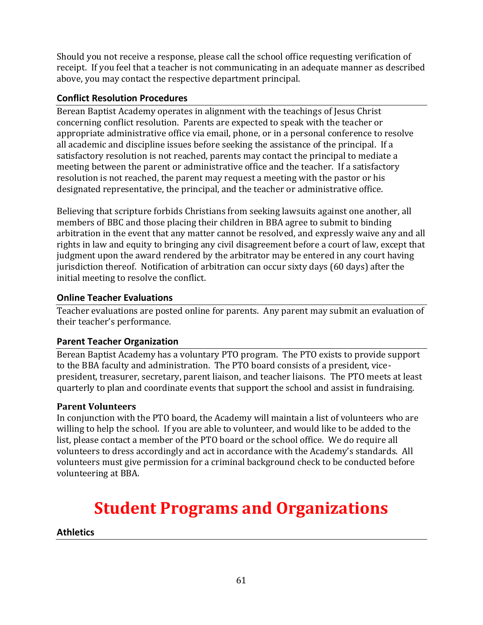Should you not receive a response, please call the school office requesting verification of receipt. If you feel that a teacher is not communicating in an adequate manner as described above, you may contact the respective department principal.

## <span id="page-60-0"></span>**Conflict Resolution Procedures**

Berean Baptist Academy operates in alignment with the teachings of Jesus Christ concerning conflict resolution. Parents are expected to speak with the teacher or appropriate administrative office via email, phone, or in a personal conference to resolve all academic and discipline issues before seeking the assistance of the principal. If a satisfactory resolution is not reached, parents may contact the principal to mediate a meeting between the parent or administrative office and the teacher. If a satisfactory resolution is not reached, the parent may request a meeting with the pastor or his designated representative, the principal, and the teacher or administrative office.

Believing that scripture forbids Christians from seeking lawsuits against one another, all members of BBC and those placing their children in BBA agree to submit to binding arbitration in the event that any matter cannot be resolved, and expressly waive any and all rights in law and equity to bringing any civil disagreement before a court of law, except that judgment upon the award rendered by the arbitrator may be entered in any court having jurisdiction thereof. Notification of arbitration can occur sixty days (60 days) after the initial meeting to resolve the conflict.

## <span id="page-60-1"></span>**Online Teacher Evaluations**

Teacher evaluations are posted online for parents. Any parent may submit an evaluation of their teacher's performance.

## <span id="page-60-2"></span>**Parent Teacher Organization**

Berean Baptist Academy has a voluntary PTO program. The PTO exists to provide support to the BBA faculty and administration. The PTO board consists of a president, vicepresident, treasurer, secretary, parent liaison, and teacher liaisons. The PTO meets at least quarterly to plan and coordinate events that support the school and assist in fundraising.

## <span id="page-60-3"></span>**Parent Volunteers**

In conjunction with the PTO board, the Academy will maintain a list of volunteers who are willing to help the school. If you are able to volunteer, and would like to be added to the list, please contact a member of the PTO board or the school office. We do require all volunteers to dress accordingly and act in accordance with the Academy's standards. All volunteers must give permission for a criminal background check to be conducted before volunteering at BBA.

## <span id="page-60-4"></span>**Student Programs and Organizations**

## <span id="page-60-5"></span>**Athletics**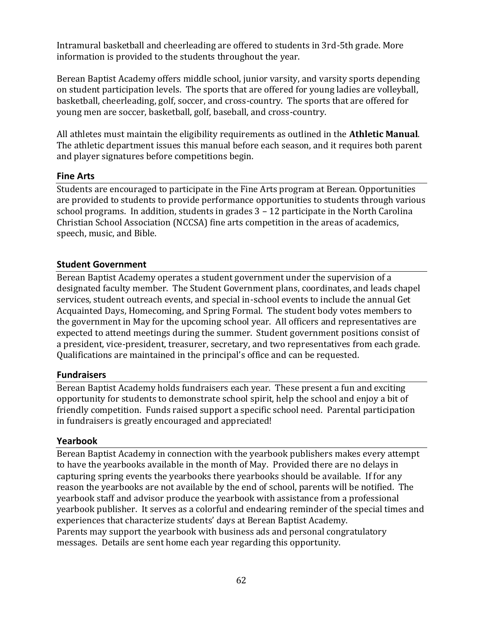Intramural basketball and cheerleading are offered to students in 3rd-5th grade. More information is provided to the students throughout the year.

Berean Baptist Academy offers middle school, junior varsity, and varsity sports depending on student participation levels. The sports that are offered for young ladies are volleyball, basketball, cheerleading, golf, soccer, and cross-country. The sports that are offered for young men are soccer, basketball, golf, baseball, and cross-country.

All athletes must maintain the eligibility requirements as outlined in the **Athletic Manual**. The athletic department issues this manual before each season, and it requires both parent and player signatures before competitions begin.

## <span id="page-61-0"></span>**Fine Arts**

Students are encouraged to participate in the Fine Arts program at Berean. Opportunities are provided to students to provide performance opportunities to students through various school programs. In addition, students in grades 3 – 12 participate in the North Carolina Christian School Association (NCCSA) fine arts competition in the areas of academics, speech, music, and Bible.

#### <span id="page-61-1"></span>**Student Government**

Berean Baptist Academy operates a student government under the supervision of a designated faculty member. The Student Government plans, coordinates, and leads chapel services, student outreach events, and special in-school events to include the annual Get Acquainted Days, Homecoming, and Spring Formal. The student body votes members to the government in May for the upcoming school year. All officers and representatives are expected to attend meetings during the summer. Student government positions consist of a president, vice-president, treasurer, secretary, and two representatives from each grade. Qualifications are maintained in the principal's office and can be requested.

#### <span id="page-61-2"></span>**Fundraisers**

Berean Baptist Academy holds fundraisers each year. These present a fun and exciting opportunity for students to demonstrate school spirit, help the school and enjoy a bit of friendly competition. Funds raised support a specific school need. Parental participation in fundraisers is greatly encouraged and appreciated!

#### <span id="page-61-3"></span>**Yearbook**

Berean Baptist Academy in connection with the yearbook publishers makes every attempt to have the yearbooks available in the month of May. Provided there are no delays in capturing spring events the yearbooks there yearbooks should be available. If for any reason the yearbooks are not available by the end of school, parents will be notified. The yearbook staff and advisor produce the yearbook with assistance from a professional yearbook publisher. It serves as a colorful and endearing reminder of the special times and experiences that characterize students' days at Berean Baptist Academy. Parents may support the yearbook with business ads and personal congratulatory messages. Details are sent home each year regarding this opportunity.